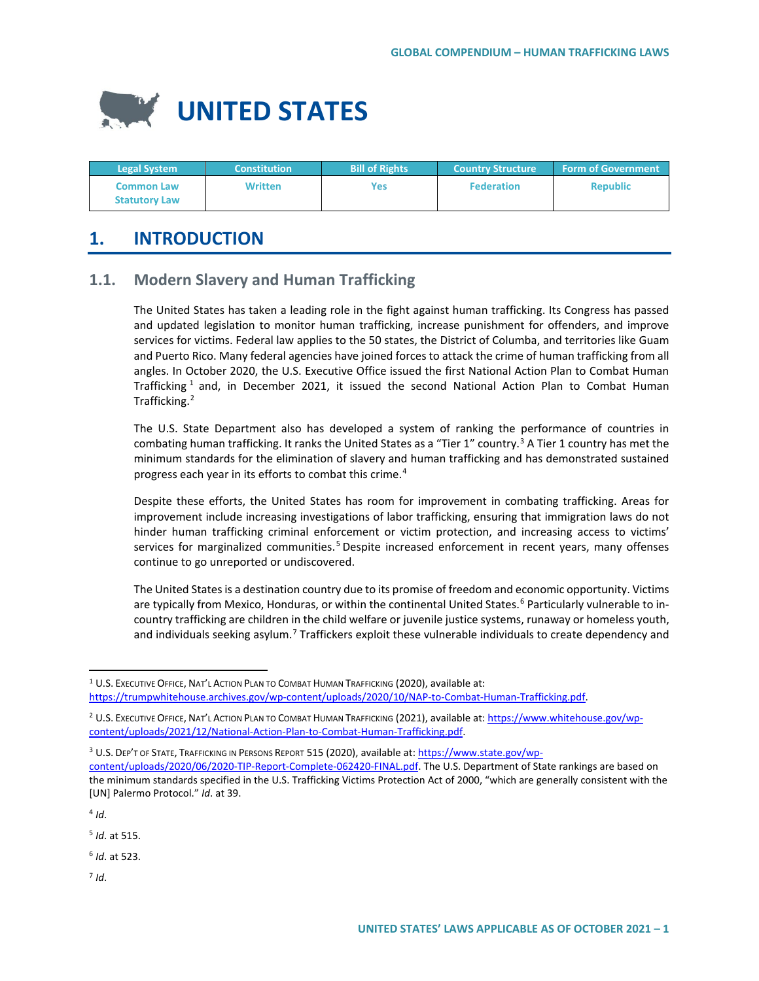

| <b>Legal System</b>                       | <b>Constitution</b> | <b>Bill of Rights</b> | <b>Country Structure</b> | <b>Form of Government</b> |
|-------------------------------------------|---------------------|-----------------------|--------------------------|---------------------------|
| <b>Common Law</b><br><b>Statutory Law</b> | Written             | <b>Yes</b>            | <b>Federation</b>        | <b>Republic</b>           |

# **1. INTRODUCTION**

### **1.1. Modern Slavery and Human Trafficking**

The United States has taken a leading role in the fight against human trafficking. Its Congress has passed and updated legislation to monitor human trafficking, increase punishment for offenders, and improve services for victims. Federal law applies to the 50 states, the District of Columba, and territories like Guam and Puerto Rico. Many federal agencies have joined forces to attack the crime of human trafficking from all angles. In October 2020, the U.S. Executive Office issued the first National Action Plan to Combat Human Trafficking  $1$  and, in December 2021, it issued the second National Action Plan to Combat Human Trafficking.[2](#page-0-1)

The U.S. State Department also has developed a system of ranking the performance of countries in combating human trafficking. It ranks the United States as a "Tier 1" country.<sup>[3](#page-0-2)</sup> A Tier 1 country has met the minimum standards for the elimination of slavery and human trafficking and has demonstrated sustained progress each year in its efforts to combat this crime.<sup>[4](#page-0-3)</sup>

Despite these efforts, the United States has room for improvement in combating trafficking. Areas for improvement include increasing investigations of labor trafficking, ensuring that immigration laws do not hinder human trafficking criminal enforcement or victim protection, and increasing access to victims' services for marginalized communities.<sup>[5](#page-0-4)</sup> Despite increased enforcement in recent years, many offenses continue to go unreported or undiscovered.

The United States is a destination country due to its promise of freedom and economic opportunity. Victims are typically from Mexico, Honduras, or within the continental United States.<sup>[6](#page-0-5)</sup> Particularly vulnerable to incountry trafficking are children in the child welfare or juvenile justice systems, runaway or homeless youth, and individuals seeking asylum.<sup>[7](#page-0-6)</sup> Traffickers exploit these vulnerable individuals to create dependency and

<span id="page-0-3"></span> $4$  *Id.* 

<span id="page-0-4"></span><sup>5</sup> *Id*. at 515.

<span id="page-0-5"></span><sup>6</sup> *Id*. at 523.

<span id="page-0-6"></span><sup>7</sup> *Id*.

<span id="page-0-0"></span><sup>&</sup>lt;sup>1</sup> U.S. EXECUTIVE OFFICE, NAT'L ACTION PLAN TO COMBAT HUMAN TRAFFICKING (2020), available at: [https://trumpwhitehouse.archives.gov/wp-content/uploads/2020/10/NAP-to-Combat-Human-Trafficking.pdf.](https://trumpwhitehouse.archives.gov/wp-content/uploads/2020/10/NAP-to-Combat-Human-Trafficking.pdf) 

<span id="page-0-1"></span><sup>2</sup> U.S. EXECUTIVE OFFICE, NAT'L ACTION PLAN TO COMBAT HUMAN TRAFFICKING (2021), available at[: https://www.whitehouse.gov/wp](https://www.whitehouse.gov/wp-content/uploads/2021/12/National-Action-Plan-to-Combat-Human-Trafficking.pdf)[content/uploads/2021/12/National-Action-Plan-to-Combat-Human-Trafficking.pdf.](https://www.whitehouse.gov/wp-content/uploads/2021/12/National-Action-Plan-to-Combat-Human-Trafficking.pdf) 

<span id="page-0-2"></span><sup>3</sup> U.S. DEP'T OF STATE, TRAFFICKING IN PERSONS REPORT 515 (2020), available at[: https://www.state.gov/wp](https://www.state.gov/wp-content/uploads/2020/06/2020-TIP-Report-Complete-062420-FINAL.pdf)[content/uploads/2020/06/2020-TIP-Report-Complete-062420-FINAL.pdf.](https://www.state.gov/wp-content/uploads/2020/06/2020-TIP-Report-Complete-062420-FINAL.pdf) The U.S. Department of State rankings are based on the minimum standards specified in the U.S. Trafficking Victims Protection Act of 2000, "which are generally consistent with the [UN] Palermo Protocol." *Id*. at 39.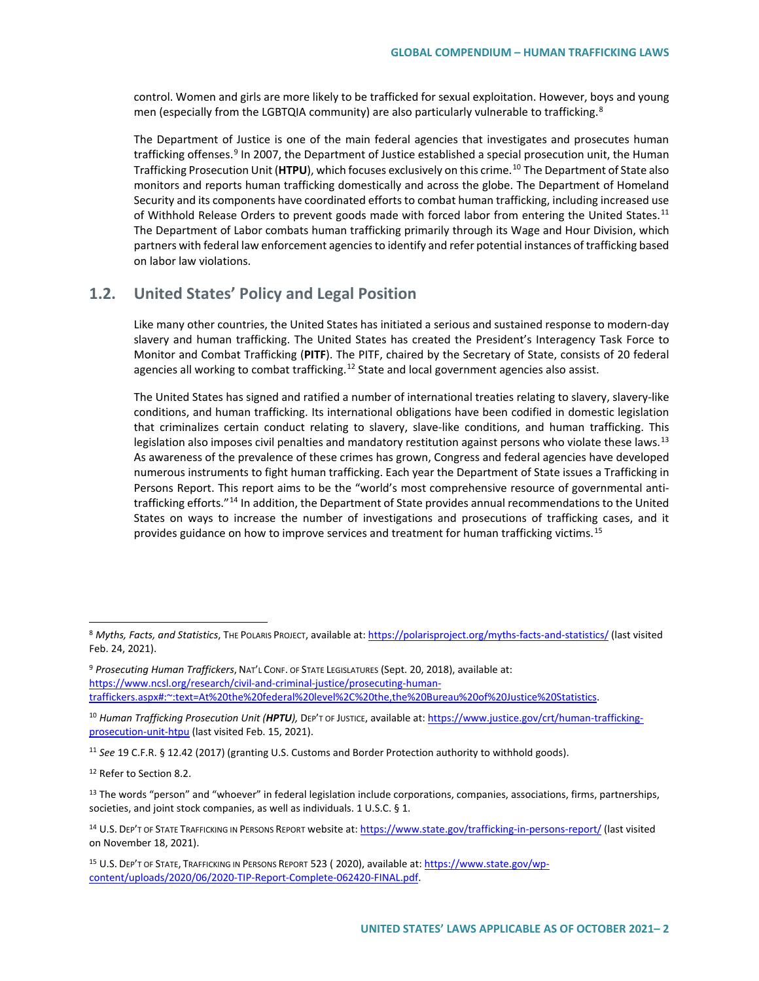control. Women and girls are more likely to be trafficked for sexual exploitation. However, boys and young men (especially from the LGBTQIA community) are also particularly vulnerable to trafficking.<sup>[8](#page-1-0)</sup>

The Department of Justice is one of the main federal agencies that investigates and prosecutes human trafficking offenses.<sup>[9](#page-1-1)</sup> In 2007, the Department of Justice established a special prosecution unit, the Human Trafficking Prosecution Unit (**HTPU**), which focuses exclusively on this crime.[10](#page-1-2) The Department of State also monitors and reports human trafficking domestically and across the globe. The Department of Homeland Security and its components have coordinated efforts to combat human trafficking, including increased use of Withhold Release Orders to prevent goods made with forced labor from entering the United States.<sup>[11](#page-1-3)</sup> The Department of Labor combats human trafficking primarily through its Wage and Hour Division, which partners with federal law enforcement agencies to identify and refer potential instances of trafficking based on labor law violations.

### **1.2. United States' Policy and Legal Position**

Like many other countries, the United States has initiated a serious and sustained response to modern-day slavery and human trafficking. The United States has created the President's Interagency Task Force to Monitor and Combat Trafficking (**PITF**). The PITF, chaired by the Secretary of State, consists of 20 federal agencies all working to combat trafficking.<sup>[12](#page-1-4)</sup> State and local government agencies also assist.

The United States has signed and ratified a number of international treaties relating to slavery, slavery-like conditions, and human trafficking. Its international obligations have been codified in domestic legislation that criminalizes certain conduct relating to slavery, slave-like conditions, and human trafficking. This legislation also imposes civil penalties and mandatory restitution against persons who violate these laws.<sup>[13](#page-1-5)</sup> As awareness of the prevalence of these crimes has grown, Congress and federal agencies have developed numerous instruments to fight human trafficking. Each year the Department of State issues a Trafficking in Persons Report. This report aims to be the "world's most comprehensive resource of governmental anti-trafficking efforts."<sup>[14](#page-1-6)</sup> In addition, the Department of State provides annual recommendations to the United States on ways to increase the number of investigations and prosecutions of trafficking cases, and it provides guidance on how to improve services and treatment for human trafficking victims.<sup>[15](#page-1-7)</sup>

<span id="page-1-0"></span><sup>8</sup> *Myths, Facts, and Statistics*, THE POLARIS PROJECT, available at[: https://polarisproject.org/myths-facts-and-statistics/](https://polarisproject.org/myths-facts-and-statistics/) (last visited Feb. 24, 2021).

<span id="page-1-1"></span><sup>9</sup> *Prosecuting Human Traffickers*, NAT'L CONF. OF STATE LEGISLATURES (Sept. 20, 2018), available at: [https://www.ncsl.org/research/civil-and-criminal-justice/prosecuting-human](https://www.ncsl.org/research/civil-and-criminal-justice/prosecuting-human-traffickers.aspx#:%7E:text=At%20the%20federal%20level%2C%20the,the%20Bureau%20of%20Justice%20Statistics)[traffickers.aspx#:~:text=At%20the%20federal%20level%2C%20the,the%20Bureau%20of%20Justice%20Statistics.](https://www.ncsl.org/research/civil-and-criminal-justice/prosecuting-human-traffickers.aspx#:%7E:text=At%20the%20federal%20level%2C%20the,the%20Bureau%20of%20Justice%20Statistics) 

<span id="page-1-2"></span><sup>10</sup> *Human Trafficking Prosecution Unit (HPTU)*, DEP'T OF JUSTICE, available at[: https://www.justice.gov/crt/human-trafficking](https://www.justice.gov/crt/human-trafficking-prosecution-unit-htpu)[prosecution-unit-htpu](https://www.justice.gov/crt/human-trafficking-prosecution-unit-htpu) (last visited Feb. 15, 2021).

<span id="page-1-3"></span><sup>11</sup> *See* 19 C.F.R. § 12.42 (2017) (granting U.S. Customs and Border Protection authority to withhold goods).

<span id="page-1-4"></span><sup>&</sup>lt;sup>12</sup> Refer to Section 8.2.

<span id="page-1-5"></span><sup>&</sup>lt;sup>13</sup> The words "person" and "whoever" in federal legislation include corporations, companies, associations, firms, partnerships, societies, and joint stock companies, as well as individuals. 1 U.S.C. § 1.

<span id="page-1-6"></span><sup>14</sup> U.S. DEP'T OF STATE TRAFFICKING IN PERSONS REPORT website at[: https://www.state.gov/trafficking-in-persons-report/](https://www.state.gov/trafficking-in-persons-report/) (last visited on November 18, 2021).

<span id="page-1-7"></span><sup>15</sup> U.S. DEP'T OF STATE, TRAFFICKING IN PERSONS REPORT 523 ( 2020), available at[: https://www.state.gov/wp](https://www.state.gov/wp-content/uploads/2020/06/2020-TIP-Report-Complete-062420-FINAL.pdf)[content/uploads/2020/06/2020-TIP-Report-Complete-062420-FINAL.pdf.](https://www.state.gov/wp-content/uploads/2020/06/2020-TIP-Report-Complete-062420-FINAL.pdf)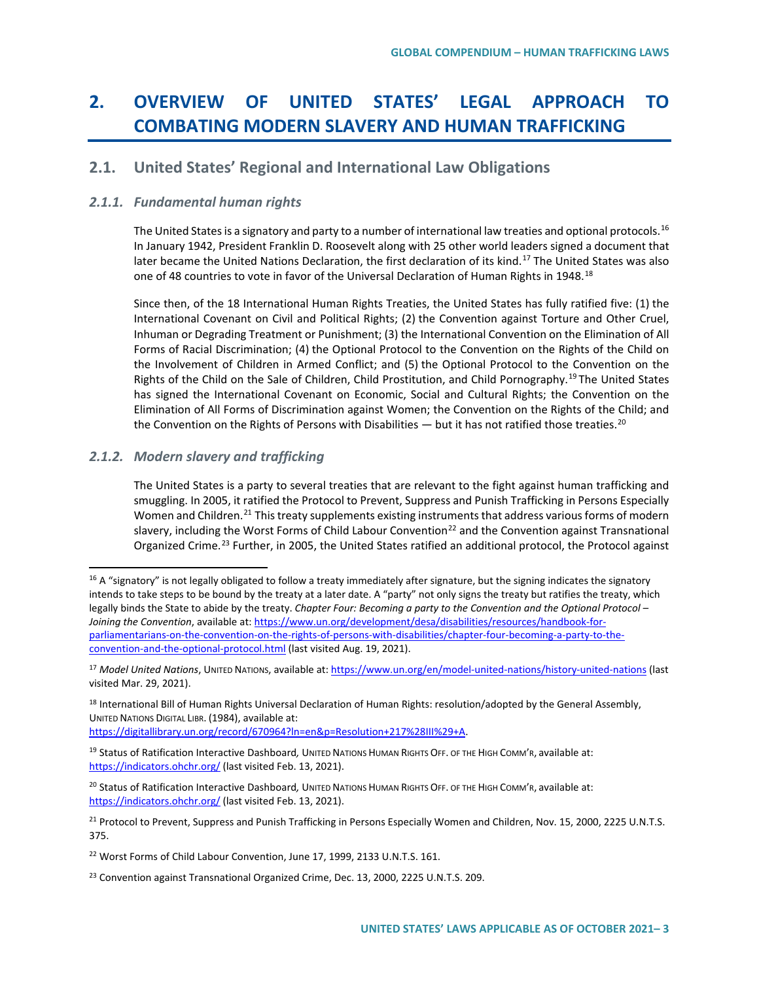# **2. OVERVIEW OF UNITED STATES' LEGAL APPROACH TO COMBATING MODERN SLAVERY AND HUMAN TRAFFICKING**

### **2.1. United States' Regional and International Law Obligations**

#### *2.1.1. Fundamental human rights*

The United States is a signatory and party to a number of international law treaties and optional protocols.<sup>[16](#page-2-0)</sup> In January 1942, President Franklin D. Roosevelt along with 25 other world leaders signed a document that later became the United Nations Declaration, the first declaration of its kind.<sup>[17](#page-2-1)</sup> The United States was also one of 48 countries to vote in favor of the Universal Declaration of Human Rights in 1948.<sup>[18](#page-2-2)</sup>

Since then, of the 18 International Human Rights Treaties, the United States has fully ratified five: (1) the International Covenant on Civil and Political Rights; (2) the Convention against Torture and Other Cruel, Inhuman or Degrading Treatment or Punishment; (3) the International Convention on the Elimination of All Forms of Racial Discrimination; (4) the Optional Protocol to the Convention on the Rights of the Child on the Involvement of Children in Armed Conflict; and (5) the Optional Protocol to the Convention on the Rights of the Child on the Sale of Children, Child Prostitution, and Child Pornography.<sup>[19](#page-2-3)</sup> The United States has signed the International Covenant on Economic, Social and Cultural Rights; the Convention on the Elimination of All Forms of Discrimination against Women; the Convention on the Rights of the Child; and the Convention on the Rights of Persons with Disabilities  $-$  but it has not ratified those treaties.<sup>[20](#page-2-4)</sup>

### *2.1.2. Modern slavery and trafficking*

The United States is a party to several treaties that are relevant to the fight against human trafficking and smuggling. In 2005, it ratified the Protocol to Prevent, Suppress and Punish Trafficking in Persons Especially Women and Children.<sup>[21](#page-2-5)</sup> This treaty supplements existing instruments that address various forms of modern slavery, including the Worst Forms of Child Labour Convention<sup>[22](#page-2-6)</sup> and the Convention against Transnational Organized Crime.<sup>[23](#page-2-7)</sup> Further, in 2005, the United States ratified an additional protocol, the Protocol against

[https://digitallibrary.un.org/record/670964?ln=en&p=Resolution+217%28III%29+A.](https://digitallibrary.un.org/record/670964?ln=en&p=Resolution+217%28III%29+A) 

<span id="page-2-0"></span> $16$  A "signatory" is not legally obligated to follow a treaty immediately after signature, but the signing indicates the signatory intends to take steps to be bound by the treaty at a later date. A "party" not only signs the treaty but ratifies the treaty, which legally binds the State to abide by the treaty. *Chapter Four: Becoming a party to the Convention and the Optional Protocol – Joining the Convention*, available at[: https://www.un.org/development/desa/disabilities/resources/handbook-for](https://www.un.org/development/desa/disabilities/resources/handbook-for-parliamentarians-on-the-convention-on-the-rights-of-persons-with-disabilities/chapter-four-becoming-a-party-to-the-convention-and-the-optional-protocol.html)[parliamentarians-on-the-convention-on-the-rights-of-persons-with-disabilities/chapter-four-becoming-a-party-to-the](https://www.un.org/development/desa/disabilities/resources/handbook-for-parliamentarians-on-the-convention-on-the-rights-of-persons-with-disabilities/chapter-four-becoming-a-party-to-the-convention-and-the-optional-protocol.html)[convention-and-the-optional-protocol.html](https://www.un.org/development/desa/disabilities/resources/handbook-for-parliamentarians-on-the-convention-on-the-rights-of-persons-with-disabilities/chapter-four-becoming-a-party-to-the-convention-and-the-optional-protocol.html) (last visited Aug. 19, 2021).

<span id="page-2-1"></span><sup>17</sup> *Model United Nations*, UNITED NATIONS, available at[: https://www.un.org/en/model-united-nations/history-united-nations](https://www.un.org/en/model-united-nations/history-united-nations) (last visited Mar. 29, 2021).

<span id="page-2-2"></span><sup>&</sup>lt;sup>18</sup> International Bill of Human Rights Universal Declaration of Human Rights: resolution/adopted by the General Assembly, UNITED NATIONS DIGITAL LIBR. (1984), available at:

<span id="page-2-3"></span><sup>19</sup> Status of Ratification Interactive Dashboard*,* UNITED NATIONS HUMAN RIGHTS OFF. OF THE HIGH COMM'R, available at: <https://indicators.ohchr.org/> (last visited Feb. 13, 2021).

<span id="page-2-4"></span><sup>20</sup> Status of Ratification Interactive Dashboard*,* UNITED NATIONS HUMAN RIGHTS OFF. OF THE HIGH COMM'R, available at: <https://indicators.ohchr.org/> (last visited Feb. 13, 2021).

<span id="page-2-5"></span><sup>&</sup>lt;sup>21</sup> Protocol to Prevent, Suppress and Punish Trafficking in Persons Especially Women and Children, Nov. 15, 2000, 2225 U.N.T.S. 375.

<span id="page-2-6"></span><sup>&</sup>lt;sup>22</sup> Worst Forms of Child Labour Convention, June 17, 1999, 2133 U.N.T.S. 161.

<span id="page-2-7"></span><sup>&</sup>lt;sup>23</sup> Convention against Transnational Organized Crime, Dec. 13, 2000, 2225 U.N.T.S. 209.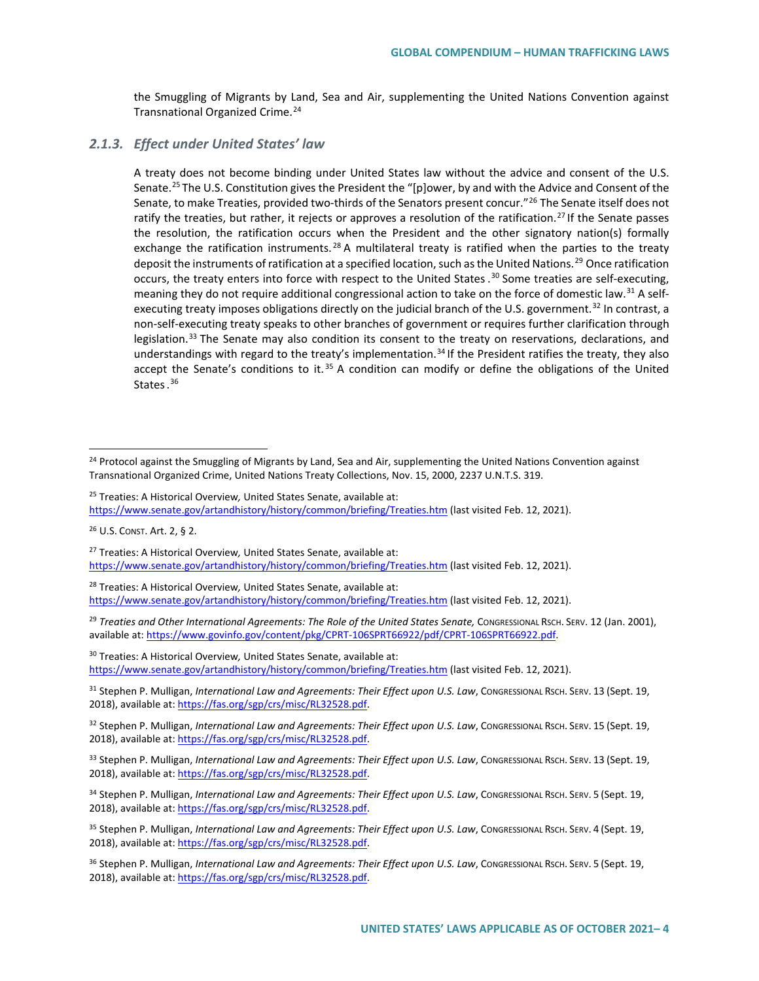the Smuggling of Migrants by Land, Sea and Air, supplementing the United Nations Convention against Transnational Organized Crime.[24](#page-3-0)

#### *2.1.3. Effect under United States' law*

A treaty does not become binding under United States law without the advice and consent of the U.S. Senate.<sup>[25](#page-3-1)</sup> The U.S. Constitution gives the President the "[p]ower, by and with the Advice and Consent of the Senate, to make Treaties, provided two-thirds of the Senators present concur."<sup>[26](#page-3-2)</sup> The Senate itself does not ratify the treaties, but rather, it rejects or approves a resolution of the ratification.<sup>[27](#page-3-3)</sup> If the Senate passes the resolution, the ratification occurs when the President and the other signatory nation(s) formally exchange the ratification instruments.<sup>[28](#page-3-4)</sup> A multilateral treaty is ratified when the parties to the treaty deposit the instruments of ratification at a specified location, such as the United Nations.<sup>[29](#page-3-5)</sup> Once ratification occurs, the treaty enters into force with respect to the United States. [30](#page-3-6) Some treaties are self-executing, meaning they do not require additional congressional action to take on the force of domestic law.<sup>[31](#page-3-7)</sup> A self-executing treaty imposes obligations directly on the judicial branch of the U.S. government.<sup>[32](#page-3-8)</sup> In contrast, a non-self-executing treaty speaks to other branches of government or requires further clarification through legislation.<sup>[33](#page-3-9)</sup> The Senate may also condition its consent to the treaty on reservations, declarations, and understandings with regard to the treaty's implementation.<sup>[34](#page-3-10)</sup> If the President ratifies the treaty, they also accept the Senate's conditions to it.<sup>[35](#page-3-11)</sup> A condition can modify or define the obligations of the United States.<sup>[36](#page-3-12)</sup>

<span id="page-3-1"></span><sup>25</sup> Treaties: A Historical Overview*,* United States Senate, available at: <https://www.senate.gov/artandhistory/history/common/briefing/Treaties.htm> (last visited Feb. 12, 2021).

<span id="page-3-4"></span><sup>28</sup> Treaties: A Historical Overview*,* United States Senate, available at: <https://www.senate.gov/artandhistory/history/common/briefing/Treaties.htm> (last visited Feb. 12, 2021).

<span id="page-3-5"></span><sup>29</sup> Treaties and Other International Agreements: The Role of the United States Senate, CONGRESSIONAL RSCH. SERV. 12 (Jan. 2001), available at: https://www.govinfo.gov/content/pkg/CPRT-106SPRT66922/pdf/CPRT-106SPRT66922.pdf.

<span id="page-3-6"></span><sup>30</sup> Treaties: A Historical Overview*,* United States Senate, available at: <https://www.senate.gov/artandhistory/history/common/briefing/Treaties.htm> (last visited Feb. 12, 2021).

<span id="page-3-7"></span>31 Stephen P. Mulligan, *International Law and Agreements: Their Effect upon U.S. Law*, Congressional Rsch. SERV. 13 (Sept. 19, 2018), available at[: https://fas.org/sgp/crs/misc/RL32528.pdf.](https://fas.org/sgp/crs/misc/RL32528.pdf)

<span id="page-3-8"></span>32 Stephen P. Mulligan, *International Law and Agreements: Their Effect upon U.S. Law*, Congressional Rsch. SERV. 15 (Sept. 19, 2018), available at[: https://fas.org/sgp/crs/misc/RL32528.pdf.](https://fas.org/sgp/crs/misc/RL32528.pdf)

<span id="page-3-9"></span>33 Stephen P. Mulligan, International Law and Agreements: Their Effect upon U.S. Law, CONGRESSIONAL RSCH. SERV. 13 (Sept. 19, 2018), available at[: https://fas.org/sgp/crs/misc/RL32528.pdf.](https://fas.org/sgp/crs/misc/RL32528.pdf)

<span id="page-3-10"></span>34 Stephen P. Mulligan, *International Law and Agreements: Their Effect upon U.S. Law*, CONGRESSIONAL RSCH. SERV. 5 (Sept. 19, 2018), available at[: https://fas.org/sgp/crs/misc/RL32528.pdf.](https://fas.org/sgp/crs/misc/RL32528.pdf)

<span id="page-3-11"></span>35 Stephen P. Mulligan, *International Law and Agreements: Their Effect upon U.S. Law,* CONGRESSIONAL RSCH. SERV. 4 (Sept. 19, 2018), available at[: https://fas.org/sgp/crs/misc/RL32528.pdf.](https://fas.org/sgp/crs/misc/RL32528.pdf)

<span id="page-3-12"></span><sup>36</sup> Stephen P. Mulligan, *International Law and Agreements: Their Effect upon U.S. Law*, CONGRESSIONAL RSCH. SERV. 5 (Sept. 19, 2018), available at[: https://fas.org/sgp/crs/misc/RL32528.pdf.](https://fas.org/sgp/crs/misc/RL32528.pdf)

<span id="page-3-0"></span><sup>&</sup>lt;sup>24</sup> Protocol against the Smuggling of Migrants by Land, Sea and Air, supplementing the United Nations Convention against Transnational Organized Crime, United Nations Treaty Collections, Nov. 15, 2000, 2237 U.N.T.S. 319.

<span id="page-3-2"></span><sup>26</sup> U.S. CONST. Art. 2, § 2.

<span id="page-3-3"></span><sup>27</sup> Treaties: A Historical Overview*,* United States Senate, available at: <https://www.senate.gov/artandhistory/history/common/briefing/Treaties.htm> (last visited Feb. 12, 2021).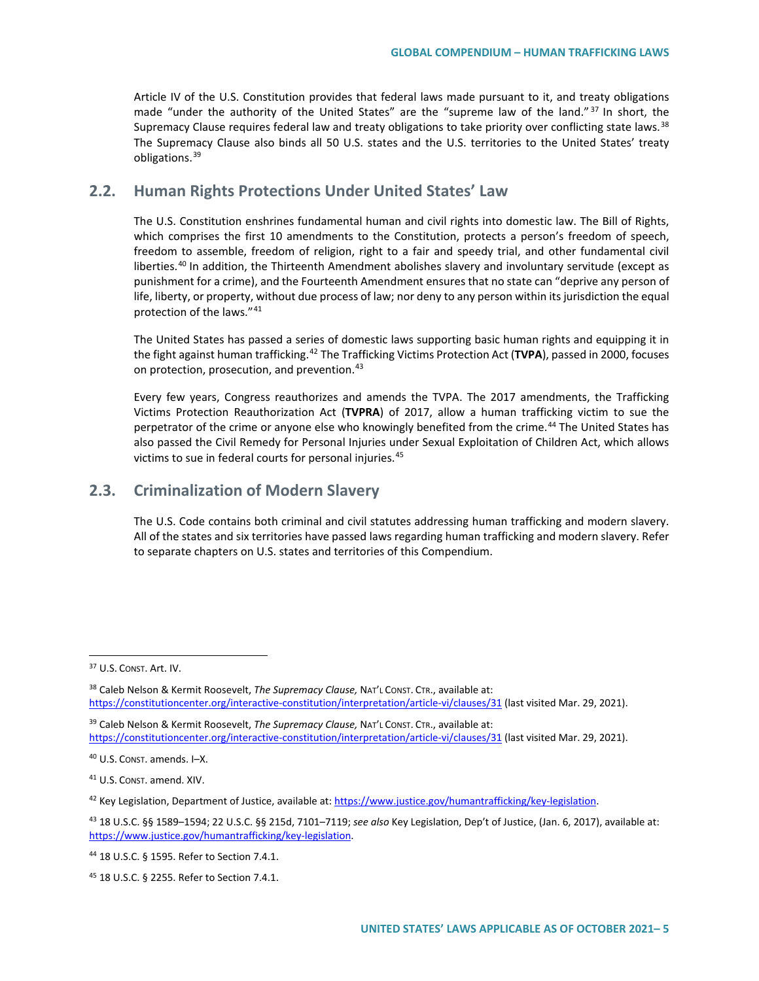Article IV of the U.S. Constitution provides that federal laws made pursuant to it, and treaty obligations made "under the authority of the United States" are the "supreme law of the land."<sup>[37](#page-4-0)</sup> In short, the Supremacy Clause requires federal law and treaty obligations to take priority over conflicting state laws.  $38$ The Supremacy Clause also binds all 50 U.S. states and the U.S. territories to the United States' treaty obligations.[39](#page-4-2)

### **2.2. Human Rights Protections Under United States' Law**

The U.S. Constitution enshrines fundamental human and civil rights into domestic law. The Bill of Rights, which comprises the first 10 amendments to the Constitution, protects a person's freedom of speech, freedom to assemble, freedom of religion, right to a fair and speedy trial, and other fundamental civil liberties.<sup>[40](#page-4-3)</sup> In addition, the Thirteenth Amendment abolishes slavery and involuntary servitude (except as punishment for a crime), and the Fourteenth Amendment ensures that no state can "deprive any person of life, liberty, or property, without due process of law; nor deny to any person within its jurisdiction the equal protection of the laws."[41](#page-4-4)

The United States has passed a series of domestic laws supporting basic human rights and equipping it in the fight against human trafficking.[42](#page-4-5) The Trafficking Victims Protection Act (**TVPA**), passed in 2000, focuses on protection, prosecution, and prevention.<sup>[43](#page-4-6)</sup>

Every few years, Congress reauthorizes and amends the TVPA. The 2017 amendments, the Trafficking Victims Protection Reauthorization Act (**TVPRA**) of 2017, allow a human trafficking victim to sue the perpetrator of the crime or anyone else who knowingly benefited from the crime.<sup>[44](#page-4-7)</sup> The United States has also passed the Civil Remedy for Personal Injuries under Sexual Exploitation of Children Act, which allows victims to sue in federal courts for personal injuries.[45](#page-4-8) 

### **2.3. Criminalization of Modern Slavery**

The U.S. Code contains both criminal and civil statutes addressing human trafficking and modern slavery. All of the states and six territories have passed laws regarding human trafficking and modern slavery. Refer to separate chapters on U.S. states and territories of this Compendium.

<span id="page-4-0"></span><sup>37</sup> U.S. CONST. Art. IV.

<span id="page-4-1"></span><sup>38</sup> Caleb Nelson & Kermit Roosevelt, *The Supremacy Clause,* NAT'L CONST. CTR., available at: <https://constitutioncenter.org/interactive-constitution/interpretation/article-vi/clauses/31> (last visited Mar. 29, 2021).

<span id="page-4-2"></span><sup>39</sup> Caleb Nelson & Kermit Roosevelt, *The Supremacy Clause,* NAT'L CONST. CTR., available at: <https://constitutioncenter.org/interactive-constitution/interpretation/article-vi/clauses/31> (last visited Mar. 29, 2021).

<span id="page-4-3"></span><sup>40</sup> U.S. CONST. amends. I–X.

<span id="page-4-4"></span><sup>41</sup> U.S. CONST. amend. XIV.

<span id="page-4-5"></span> $42$  Key Legislation, Department of Justice, available at: [https://www.justice.gov/humantrafficking/key-legislation.](https://www.justice.gov/humantrafficking/key-legislation)

<span id="page-4-6"></span><sup>43</sup> 18 U.S.C. §§ 1589–1594; 22 U.S.C. §§ 215d, 7101–7119; *see also* Key Legislation, Dep't of Justice, (Jan. 6, 2017), available at: [https://www.justice.gov/humantrafficking/key-legislation.](https://www.justice.gov/humantrafficking/key-legislation) 

<span id="page-4-7"></span><sup>44</sup> 18 U.S.C. § 1595. Refer to Section 7.4.1.

<span id="page-4-8"></span><sup>45</sup> 18 U.S.C. § 2255. Refer to Section 7.4.1.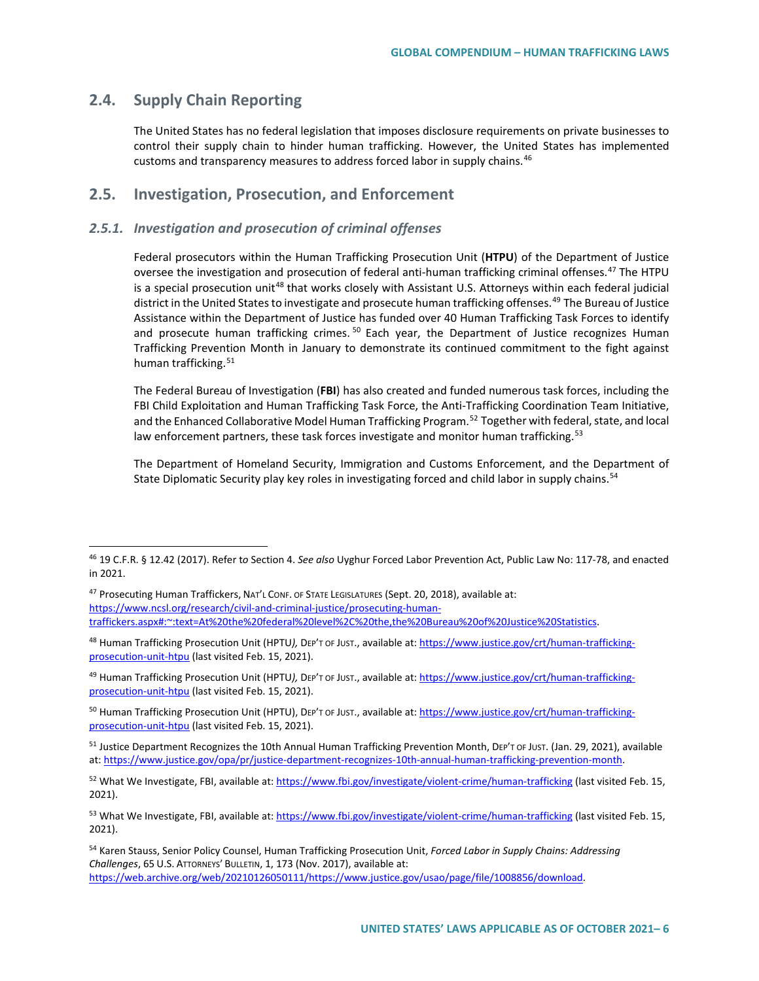### **2.4. Supply Chain Reporting**

The United States has no federal legislation that imposes disclosure requirements on private businesses to control their supply chain to hinder human trafficking. However, the United States has implemented customs and transparency measures to address forced labor in supply chains.<sup>[46](#page-5-0)</sup>

### **2.5. Investigation, Prosecution, and Enforcement**

#### *2.5.1. Investigation and prosecution of criminal offenses*

Federal prosecutors within the Human Trafficking Prosecution Unit (**HTPU**) of the Department of Justice oversee the investigation and prosecution of federal anti-human trafficking criminal offenses.<sup>[47](#page-5-1)</sup> The HTPU is a special prosecution unit<sup>[48](#page-5-2)</sup> that works closely with Assistant U.S. Attorneys within each federal judicial district in the United States to investigate and prosecute human trafficking offenses.[49](#page-5-3) The Bureau of Justice Assistance within the Department of Justice has funded over 40 Human Trafficking Task Forces to identify and prosecute human trafficking crimes.<sup>[50](#page-5-4)</sup> Each year, the Department of Justice recognizes Human Trafficking Prevention Month in January to demonstrate its continued commitment to the fight against human trafficking.<sup>[51](#page-5-5)</sup>

The Federal Bureau of Investigation (**FBI**) has also created and funded numerous task forces, including the FBI Child Exploitation and Human Trafficking Task Force, the Anti-Trafficking Coordination Team Initiative, and the Enhanced Collaborative Model Human Trafficking Program.<sup>[52](#page-5-6)</sup> Together with federal, state, and local law enforcement partners, these task forces investigate and monitor human trafficking.<sup>53</sup>

The Department of Homeland Security, Immigration and Customs Enforcement, and the Department of State Diplomatic Security play key roles in investigating forced and child labor in supply chains.<sup>[54](#page-5-8)</sup>

<span id="page-5-0"></span><sup>46</sup> 19 C.F.R. § 12.42 (2017). Refer t*o* Section 4. *See also* Uyghur Forced Labor Prevention Act, Public Law No: 117-78, and enacted in 2021.

<span id="page-5-1"></span><sup>47</sup> Prosecuting Human Traffickers, NAT'L CONF. OF STATE LEGISLATURES (Sept. 20, 2018), available at: [https://www.ncsl.org/research/civil-and-criminal-justice/prosecuting-human](https://www.ncsl.org/research/civil-and-criminal-justice/prosecuting-human-traffickers.aspx#:%7E:text=At%20the%20federal%20level%2C%20the,the%20Bureau%20of%20Justice%20Statistics)[traffickers.aspx#:~:text=At%20the%20federal%20level%2C%20the,the%20Bureau%20of%20Justice%20Statistics.](https://www.ncsl.org/research/civil-and-criminal-justice/prosecuting-human-traffickers.aspx#:%7E:text=At%20the%20federal%20level%2C%20the,the%20Bureau%20of%20Justice%20Statistics) 

<span id="page-5-2"></span><sup>48</sup> Human Trafficking Prosecution Unit (HPTU*),* DEP'T OF JUST., available at[: https://www.justice.gov/crt/human-trafficking](https://www.justice.gov/crt/human-trafficking-prosecution-unit-htpu)[prosecution-unit-htpu](https://www.justice.gov/crt/human-trafficking-prosecution-unit-htpu) (last visited Feb. 15, 2021).

<span id="page-5-3"></span><sup>49</sup> Human Trafficking Prosecution Unit (HPTU*),* DEP'T OF JUST., available at[: https://www.justice.gov/crt/human-trafficking](https://www.justice.gov/crt/human-trafficking-prosecution-unit-htpu)[prosecution-unit-htpu](https://www.justice.gov/crt/human-trafficking-prosecution-unit-htpu) (last visited Feb. 15, 2021).

<span id="page-5-4"></span><sup>50</sup> Human Trafficking Prosecution Unit (HPTU), DEP'T OF JUST., available at[: https://www.justice.gov/crt/human-trafficking](https://www.justice.gov/crt/human-trafficking-prosecution-unit-htpu)[prosecution-unit-htpu](https://www.justice.gov/crt/human-trafficking-prosecution-unit-htpu) (last visited Feb. 15, 2021).

<span id="page-5-5"></span><sup>51</sup> Justice Department Recognizes the 10th Annual Human Trafficking Prevention Month, DEP'T OF JUST. (Jan. 29, 2021), available at: [https://www.justice.gov/opa/pr/justice-department-recognizes-10th-annual-human-trafficking-prevention-month.](https://www.justice.gov/opa/pr/justice-department-recognizes-10th-annual-human-trafficking-prevention-month)

<span id="page-5-6"></span><sup>52</sup> What We Investigate, FBI, available at:<https://www.fbi.gov/investigate/violent-crime/human-trafficking> (last visited Feb. 15, 2021).

<span id="page-5-7"></span><sup>&</sup>lt;sup>53</sup> What We Investigate, FBI, available at:<https://www.fbi.gov/investigate/violent-crime/human-trafficking> (last visited Feb. 15, 2021).

<span id="page-5-8"></span><sup>54</sup> Karen Stauss, Senior Policy Counsel, Human Trafficking Prosecution Unit, *Forced Labor in Supply Chains: Addressing Challenges*, 65 U.S. ATTORNEYS' BULLETIN, 1, 173 (Nov. 2017), available at: [https://web.archive.org/web/20210126050111/https://www.justice.gov/usao/page/file/1008856/download.](https://web.archive.org/web/20210126050111/https:/www.justice.gov/usao/page/file/1008856/download)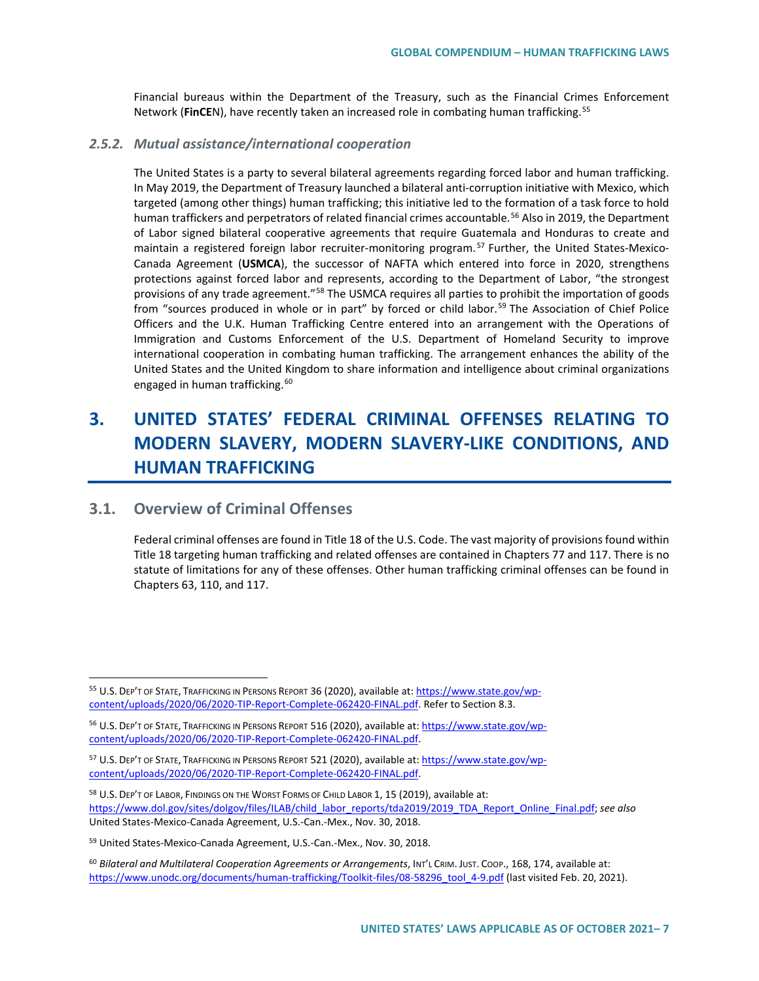Financial bureaus within the Department of the Treasury, such as the Financial Crimes Enforcement Network (**FinCE**N), have recently taken an increased role in combating human trafficking.[55](#page-6-0)

#### *2.5.2. Mutual assistance/international cooperation*

The United States is a party to several bilateral agreements regarding forced labor and human trafficking. In May 2019, the Department of Treasury launched a bilateral anti-corruption initiative with Mexico, which targeted (among other things) human trafficking; this initiative led to the formation of a task force to hold human traffickers and perpetrators of related financial crimes accountable.<sup>[56](#page-6-1)</sup> Also in 2019, the Department of Labor signed bilateral cooperative agreements that require Guatemala and Honduras to create and maintain a registered foreign labor recruiter-monitoring program.<sup>[57](#page-6-2)</sup> Further, the United States-Mexico-Canada Agreement (**USMCA**), the successor of NAFTA which entered into force in 2020, strengthens protections against forced labor and represents, according to the Department of Labor, "the strongest provisions of any trade agreement."<sup>[58](#page-6-3)</sup> The USMCA requires all parties to prohibit the importation of goods from "sources produced in whole or in part" by forced or child labor.<sup>[59](#page-6-4)</sup> The Association of Chief Police Officers and the U.K. Human Trafficking Centre entered into an arrangement with the Operations of Immigration and Customs Enforcement of the U.S. Department of Homeland Security to improve international cooperation in combating human trafficking. The arrangement enhances the ability of the United States and the United Kingdom to share information and intelligence about criminal organizations engaged in human trafficking.<sup>[60](#page-6-5)</sup>

# **3. UNITED STATES' FEDERAL CRIMINAL OFFENSES RELATING TO MODERN SLAVERY, MODERN SLAVERY-LIKE CONDITIONS, AND HUMAN TRAFFICKING**

### **3.1. Overview of Criminal Offenses**

Federal criminal offenses are found in Title 18 of the U.S. Code. The vast majority of provisions found within Title 18 targeting human trafficking and related offenses are contained in Chapters 77 and 117. There is no statute of limitations for any of these offenses. Other human trafficking criminal offenses can be found in Chapters 63, 110, and 117.

<span id="page-6-0"></span><sup>55</sup> U.S. DEP'T OF STATE, TRAFFICKING IN PERSONS REPORT 36 (2020), available at: [https://www.state.gov/wp](https://www.state.gov/wp-content/uploads/2020/06/2020-TIP-Report-Complete-062420-FINAL.pdf)[content/uploads/2020/06/2020-TIP-Report-Complete-062420-FINAL.pdf.](https://www.state.gov/wp-content/uploads/2020/06/2020-TIP-Report-Complete-062420-FINAL.pdf) Refer to Section 8.3.

<span id="page-6-1"></span><sup>56</sup> U.S. DEP'T OF STATE, TRAFFICKING IN PERSONS REPORT 516 (2020), available at[: https://www.state.gov/wp](https://www.state.gov/wp-content/uploads/2020/06/2020-TIP-Report-Complete-062420-FINAL.pdf)[content/uploads/2020/06/2020-TIP-Report-Complete-062420-FINAL.pdf.](https://www.state.gov/wp-content/uploads/2020/06/2020-TIP-Report-Complete-062420-FINAL.pdf) 

<span id="page-6-2"></span><sup>57</sup> U.S. DEP'T OF STATE, TRAFFICKING IN PERSONS REPORT 521 (2020), available at[: https://www.state.gov/wp](https://www.state.gov/wp-content/uploads/2020/06/2020-TIP-Report-Complete-062420-FINAL.pdf)[content/uploads/2020/06/2020-TIP-Report-Complete-062420-FINAL.pdf.](https://www.state.gov/wp-content/uploads/2020/06/2020-TIP-Report-Complete-062420-FINAL.pdf) 

<span id="page-6-3"></span><sup>&</sup>lt;sup>58</sup> U.S. DEP'T OF LABOR, FINDINGS ON THE WORST FORMS OF CHILD LABOR 1, 15 (2019), available at: [https://www.dol.gov/sites/dolgov/files/ILAB/child\\_labor\\_reports/tda2019/2019\\_TDA\\_Report\\_Online\\_Final.pdf;](https://www.dol.gov/sites/dolgov/files/ILAB/child_labor_reports/tda2019/2019_TDA_Report_Online_Final.pdf) *see also*  United States-Mexico-Canada Agreement, U.S.-Can.-Mex., Nov. 30, 2018.

<span id="page-6-4"></span><sup>59</sup> United States-Mexico-Canada Agreement, U.S.-Can.-Mex., Nov. 30, 2018.

<span id="page-6-5"></span><sup>60</sup> *Bilateral and Multilateral Cooperation Agreements or Arrangements*, INT'L CRIM. JUST. COOP., 168, 174, available at: [https://www.unodc.org/documents/human-trafficking/Toolkit-files/08-58296\\_tool\\_4-9.pdf](https://www.unodc.org/documents/human-trafficking/Toolkit-files/08-58296_tool_4-9.pdf) (last visited Feb. 20, 2021).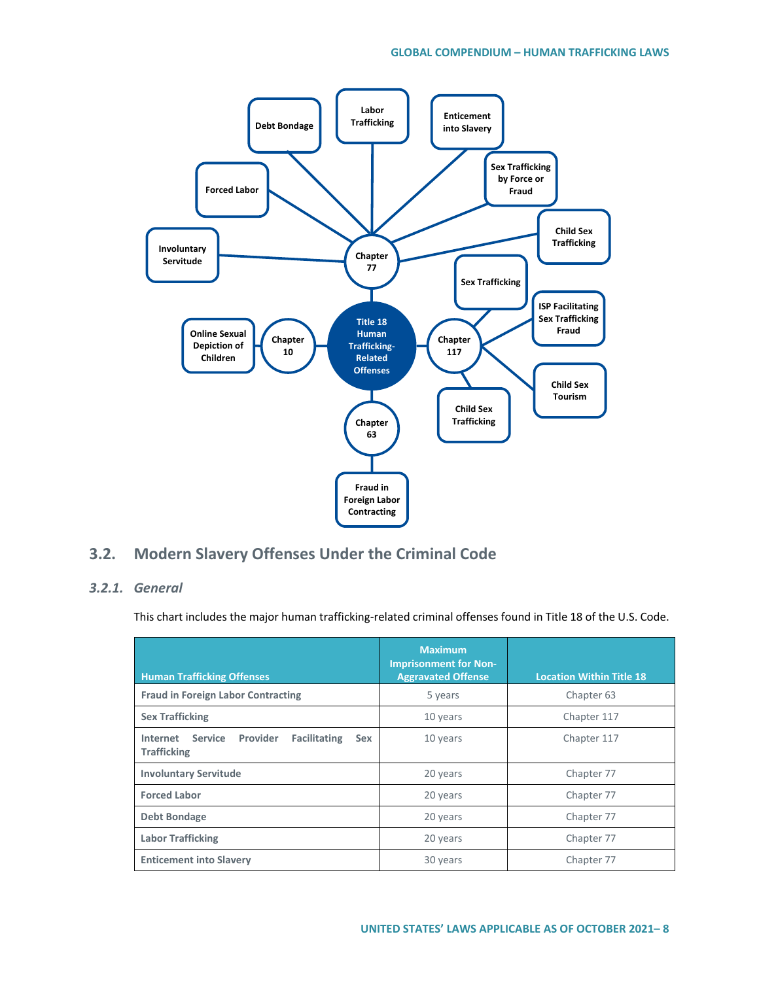

## **3.2. Modern Slavery Offenses Under the Criminal Code**

### *3.2.1. General*

This chart includes the major human trafficking-related criminal offenses found in Title 18 of the U.S. Code.

| <b>Human Trafficking Offenses</b>                                                                 | <b>Maximum</b><br><b>Imprisonment for Non-</b><br><b>Aggravated Offense</b> | <b>Location Within Title 18</b> |
|---------------------------------------------------------------------------------------------------|-----------------------------------------------------------------------------|---------------------------------|
| <b>Fraud in Foreign Labor Contracting</b>                                                         | 5 years                                                                     | Chapter 63                      |
| <b>Sex Trafficking</b>                                                                            | 10 years                                                                    | Chapter 117                     |
| <b>Service</b><br>Provider<br><b>Facilitating</b><br>Internet<br><b>Sex</b><br><b>Trafficking</b> | 10 years                                                                    | Chapter 117                     |
| <b>Involuntary Servitude</b>                                                                      | 20 years                                                                    | Chapter 77                      |
| <b>Forced Labor</b>                                                                               | 20 years                                                                    | Chapter 77                      |
| <b>Debt Bondage</b>                                                                               | 20 years                                                                    | Chapter 77                      |
| <b>Labor Trafficking</b>                                                                          | 20 years                                                                    | Chapter 77                      |
| <b>Enticement into Slavery</b>                                                                    | 30 years                                                                    | Chapter 77                      |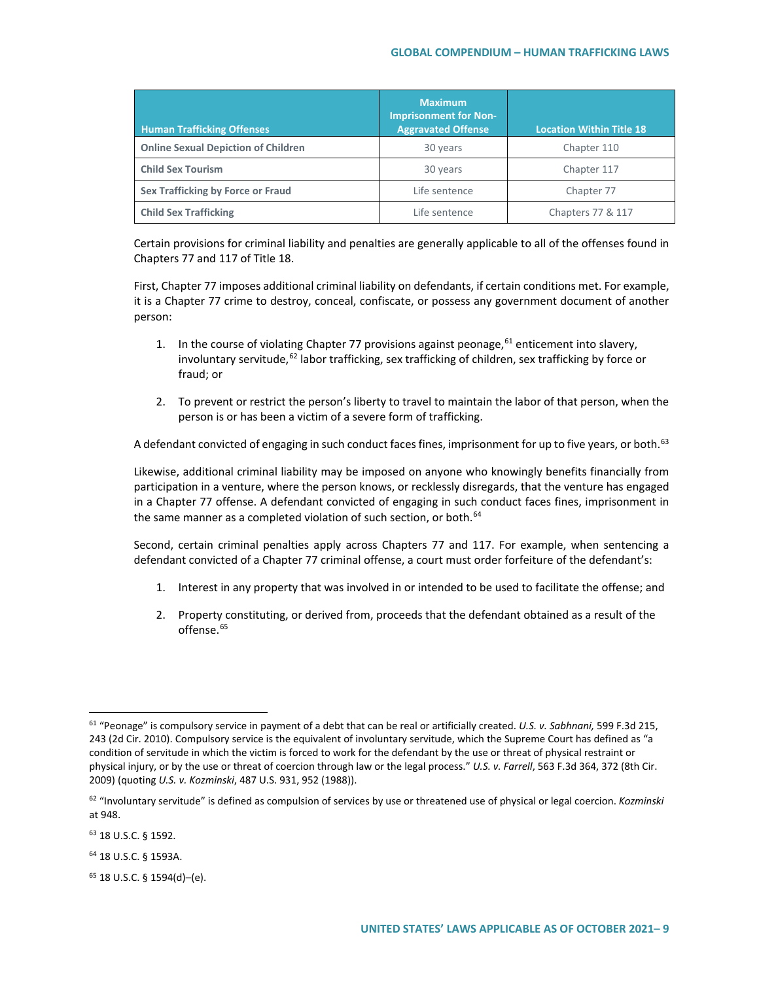#### **GLOBAL COMPENDIUM – HUMAN TRAFFICKING LAWS**

| <b>Human Trafficking Offenses</b>          | <b>Maximum</b><br><b>Imprisonment for Non-</b><br><b>Aggravated Offense</b> | <b>Location Within Title 18</b> |
|--------------------------------------------|-----------------------------------------------------------------------------|---------------------------------|
| <b>Online Sexual Depiction of Children</b> | 30 years                                                                    | Chapter 110                     |
| <b>Child Sex Tourism</b>                   | 30 years                                                                    | Chapter 117                     |
| Sex Trafficking by Force or Fraud          | Life sentence                                                               | Chapter 77                      |
| <b>Child Sex Trafficking</b>               | Life sentence                                                               | Chapters 77 & 117               |

Certain provisions for criminal liability and penalties are generally applicable to all of the offenses found in Chapters 77 and 117 of Title 18.

First, Chapter 77 imposes additional criminal liability on defendants, if certain conditions met. For example, it is a Chapter 77 crime to destroy, conceal, confiscate, or possess any government document of another person:

- 1. In the course of violating Chapter 77 provisions against peonage,  $61$  enticement into slavery, involuntary servitude,<sup>[62](#page-8-1)</sup> labor trafficking, sex trafficking of children, sex trafficking by force or fraud; or
- 2. To prevent or restrict the person's liberty to travel to maintain the labor of that person, when the person is or has been a victim of a severe form of trafficking.

A defendant convicted of engaging in such conduct faces fines, imprisonment for up to five years, or both.<sup>[63](#page-8-2)</sup>

Likewise, additional criminal liability may be imposed on anyone who knowingly benefits financially from participation in a venture, where the person knows, or recklessly disregards, that the venture has engaged in a Chapter 77 offense. A defendant convicted of engaging in such conduct faces fines, imprisonment in the same manner as a completed violation of such section, or both.<sup>[64](#page-8-3)</sup>

Second, certain criminal penalties apply across Chapters 77 and 117. For example, when sentencing a defendant convicted of a Chapter 77 criminal offense, a court must order forfeiture of the defendant's:

- 1. Interest in any property that was involved in or intended to be used to facilitate the offense; and
- 2. Property constituting, or derived from, proceeds that the defendant obtained as a result of the offense.<sup>[65](#page-8-4)</sup>

<span id="page-8-0"></span><sup>61</sup> "Peonage" is compulsory service in payment of a debt that can be real or artificially created. *U.S. v. Sabhnani,* 599 F.3d 215, 243 (2d Cir. 2010). Compulsory service is the equivalent of involuntary servitude, which the Supreme Court has defined as "a condition of servitude in which the victim is forced to work for the defendant by the use or threat of physical restraint or physical injury, or by the use or threat of coercion through law or the legal process." *U.S. v. Farrell*, 563 F.3d 364, 372 (8th Cir. 2009) (quoting *U.S. v. Kozminski*, 487 U.S. 931, 952 (1988)).

<span id="page-8-1"></span><sup>62</sup> "Involuntary servitude" is defined as compulsion of services by use or threatened use of physical or legal coercion. *Kozminski* at 948.

<span id="page-8-2"></span><sup>63</sup> 18 U.S.C. § 1592.

<span id="page-8-3"></span><sup>64</sup> 18 U.S.C. § 1593A.

<span id="page-8-4"></span><sup>65</sup> 18 U.S.C. § 1594(d)–(e).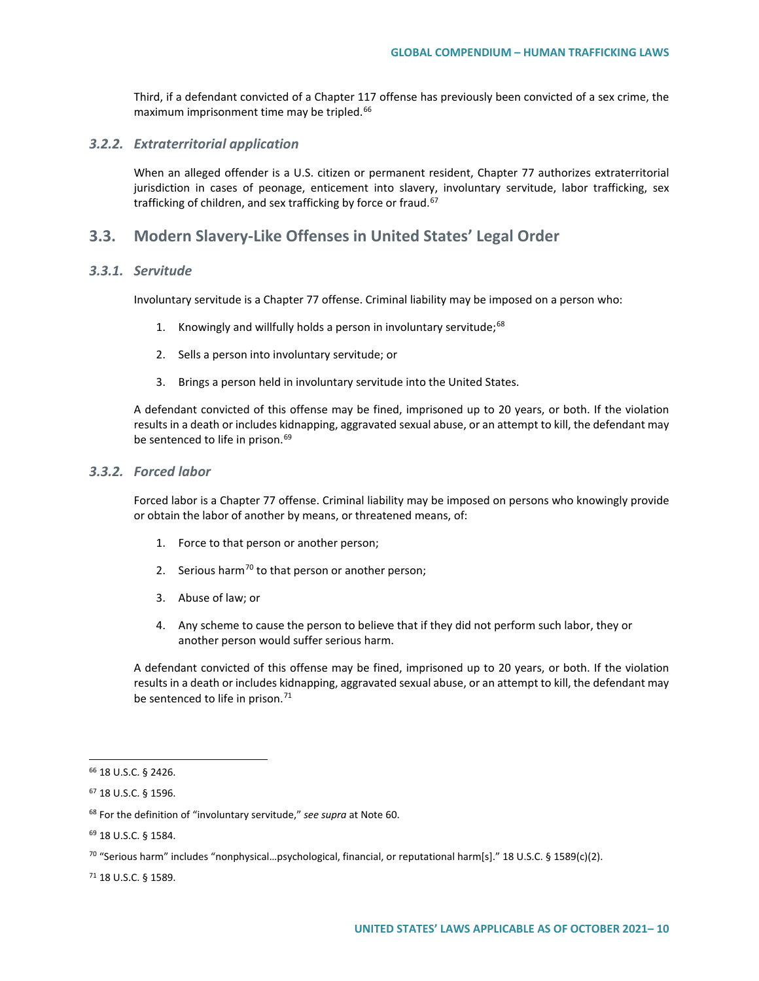Third, if a defendant convicted of a Chapter 117 offense has previously been convicted of a sex crime, the maximum imprisonment time may be tripled.<sup>[66](#page-9-0)</sup>

#### *3.2.2. Extraterritorial application*

When an alleged offender is a U.S. citizen or permanent resident, Chapter 77 authorizes extraterritorial jurisdiction in cases of peonage, enticement into slavery, involuntary servitude, labor trafficking, sex trafficking of children, and sex trafficking by force or fraud.<sup>[67](#page-9-1)</sup>

### **3.3. Modern Slavery-Like Offenses in United States' Legal Order**

#### *3.3.1. Servitude*

Involuntary servitude is a Chapter 77 offense. Criminal liability may be imposed on a person who:

- 1. Knowingly and willfully holds a person in involuntary servitude;<sup>[68](#page-9-2)</sup>
- 2. Sells a person into involuntary servitude; or
- 3. Brings a person held in involuntary servitude into the United States.

A defendant convicted of this offense may be fined, imprisoned up to 20 years, or both. If the violation results in a death or includes kidnapping, aggravated sexual abuse, or an attempt to kill, the defendant may be sentenced to life in prison.<sup>[69](#page-9-3)</sup>

#### *3.3.2. Forced labor*

Forced labor is a Chapter 77 offense. Criminal liability may be imposed on persons who knowingly provide or obtain the labor of another by means, or threatened means, of:

- 1. Force to that person or another person;
- 2. Serious harm<sup>[70](#page-9-4)</sup> to that person or another person;
- 3. Abuse of law; or
- 4. Any scheme to cause the person to believe that if they did not perform such labor, they or another person would suffer serious harm.

A defendant convicted of this offense may be fined, imprisoned up to 20 years, or both. If the violation results in a death or includes kidnapping, aggravated sexual abuse, or an attempt to kill, the defendant may be sentenced to life in prison.<sup>[71](#page-9-5)</sup>

<span id="page-9-5"></span><sup>71</sup> 18 U.S.C. § 1589.

<span id="page-9-0"></span><sup>66</sup> 18 U.S.C. § 2426.

<span id="page-9-1"></span><sup>67</sup> 18 U.S.C. § 1596.

<span id="page-9-2"></span><sup>68</sup> For the definition of "involuntary servitude," *see supra* at Note 60.

<span id="page-9-3"></span><sup>69</sup> 18 U.S.C. § 1584.

<span id="page-9-4"></span> $70$  "Serious harm" includes "nonphysical...psychological, financial, or reputational harm[s]." 18 U.S.C. § 1589(c)(2).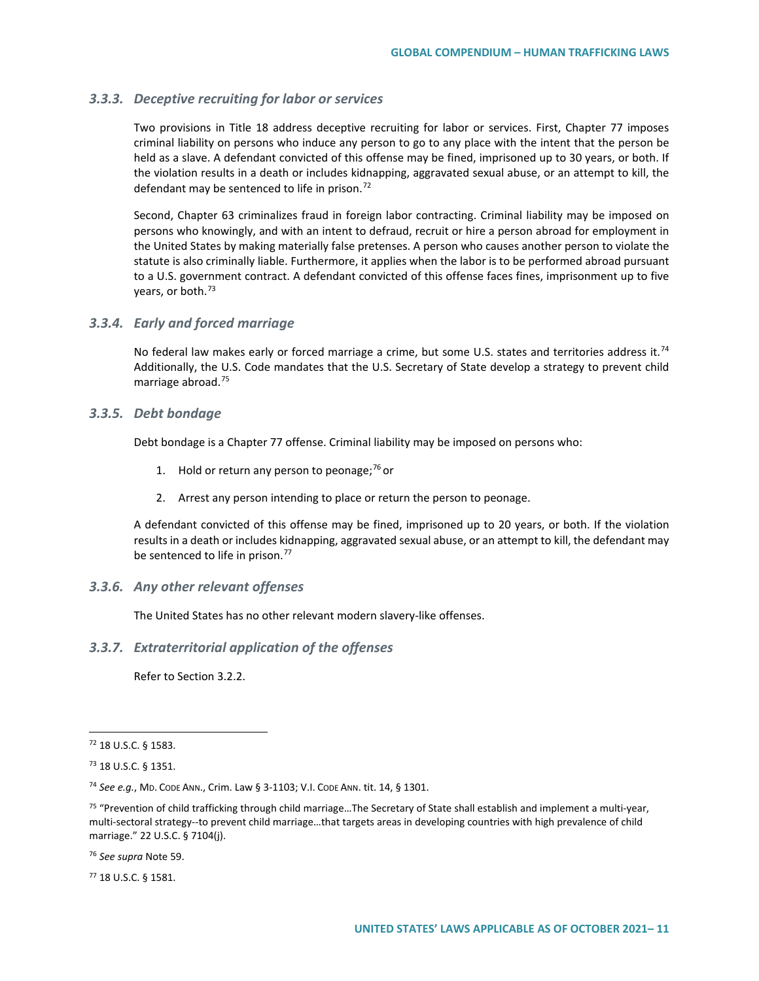#### *3.3.3. Deceptive recruiting for labor or services*

Two provisions in Title 18 address deceptive recruiting for labor or services. First, Chapter 77 imposes criminal liability on persons who induce any person to go to any place with the intent that the person be held as a slave. A defendant convicted of this offense may be fined, imprisoned up to 30 years, or both. If the violation results in a death or includes kidnapping, aggravated sexual abuse, or an attempt to kill, the defendant may be sentenced to life in prison.<sup>[72](#page-10-0)</sup>

Second, Chapter 63 criminalizes fraud in foreign labor contracting. Criminal liability may be imposed on persons who knowingly, and with an intent to defraud, recruit or hire a person abroad for employment in the United States by making materially false pretenses. A person who causes another person to violate the statute is also criminally liable. Furthermore, it applies when the labor is to be performed abroad pursuant to a U.S. government contract. A defendant convicted of this offense faces fines, imprisonment up to five years, or both.<sup>[73](#page-10-1)</sup>

#### *3.3.4. Early and forced marriage*

No federal law makes early or forced marriage a crime, but some U.S. states and territories address it.<sup>[74](#page-10-2)</sup> Additionally, the U.S. Code mandates that the U.S. Secretary of State develop a strategy to prevent child marriage abroad.[75](#page-10-3)

#### *3.3.5. Debt bondage*

Debt bondage is a Chapter 77 offense. Criminal liability may be imposed on persons who:

- 1. Hold or return any person to peonage;  $76$  or
- 2. Arrest any person intending to place or return the person to peonage.

A defendant convicted of this offense may be fined, imprisoned up to 20 years, or both. If the violation results in a death or includes kidnapping, aggravated sexual abuse, or an attempt to kill, the defendant may be sentenced to life in prison.<sup>[77](#page-10-5)</sup>

#### *3.3.6. Any other relevant offenses*

The United States has no other relevant modern slavery-like offenses.

#### *3.3.7. Extraterritorial application of the offenses*

Refer to Section 3.2.2.

<span id="page-10-4"></span><sup>76</sup> *See supra* Note 59.

<span id="page-10-5"></span><sup>77</sup> 18 U.S.C. § 1581.

<span id="page-10-0"></span><sup>72</sup> 18 U.S.C. § 1583.

<span id="page-10-1"></span><sup>73</sup> 18 U.S.C. § 1351.

<span id="page-10-2"></span><sup>74</sup> *See e.g.*, MD. CODE ANN., Crim. Law § [3-1103;](https://www.westlaw.com/Document/I67C0373057DD11E9927AC3DFC40F199B/View/FullText.html?transitionType=Default&contextData=(sc.Default)&VR=3.0&RS=cblt1.0) V.I. CODE ANN. tit. 14, § 1301.

<span id="page-10-3"></span><sup>&</sup>lt;sup>75</sup> "Prevention of child trafficking through child marriage...The Secretary of State shall establish and implement a multi-year, multi-sectoral strategy--to prevent child marriage…that targets areas in developing countries with high prevalence of child marriage." 22 U.S.C. § 7104(j).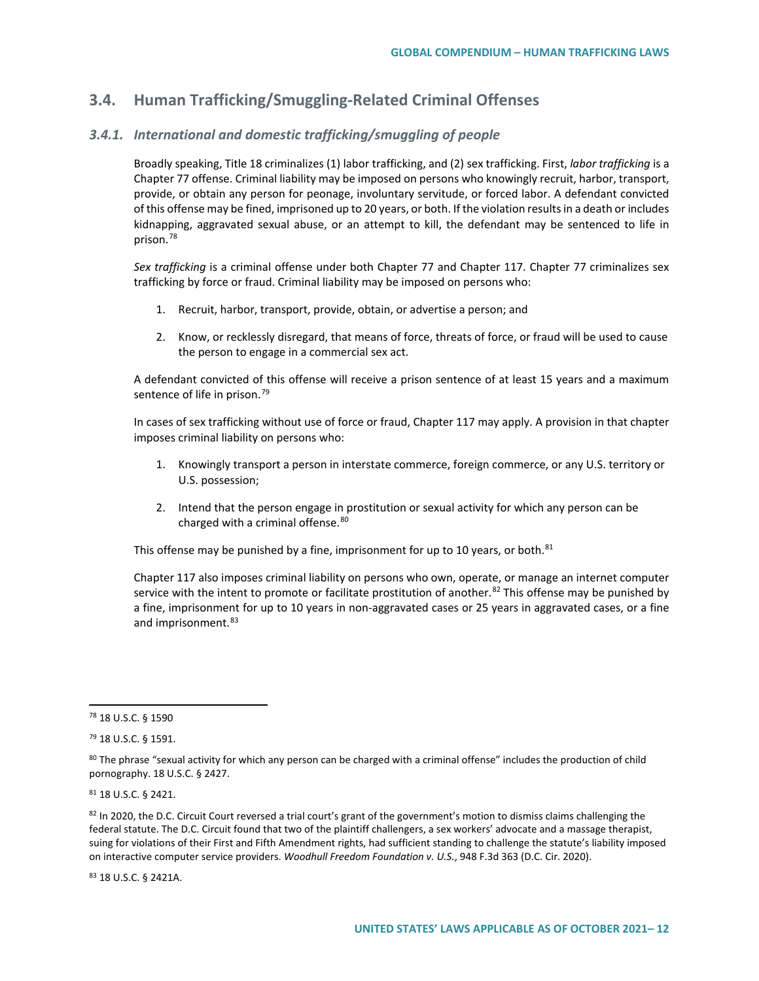## **3.4. Human Trafficking/Smuggling-Related Criminal Offenses**

### *3.4.1. International and domestic trafficking/smuggling of people*

Broadly speaking, Title 18 criminalizes (1) labor trafficking, and (2) sex trafficking. First, *labor trafficking* is a Chapter 77 offense. Criminal liability may be imposed on persons who knowingly recruit, harbor, transport, provide, or obtain any person for peonage, involuntary servitude, or forced labor. A defendant convicted of this offense may be fined, imprisoned up to 20 years, or both. If the violation results in a death or includes kidnapping, aggravated sexual abuse, or an attempt to kill, the defendant may be sentenced to life in prison[.78](#page-11-0)

*Sex trafficking* is a criminal offense under both Chapter 77 and Chapter 117. Chapter 77 criminalizes sex trafficking by force or fraud. Criminal liability may be imposed on persons who:

- 1. Recruit, harbor, transport, provide, obtain, or advertise a person; and
- 2. Know, or recklessly disregard, that means of force, threats of force, or fraud will be used to cause the person to engage in a commercial sex act.

A defendant convicted of this offense will receive a prison sentence of at least 15 years and a maximum sentence of life in prison.<sup>[79](#page-11-1)</sup>

In cases of sex trafficking without use of force or fraud, Chapter 117 may apply. A provision in that chapter imposes criminal liability on persons who:

- 1. Knowingly transport a person in interstate commerce, foreign commerce, or any U.S. territory or U.S. possession;
- 2. Intend that the person engage in prostitution or sexual activity for which any person can be charged with a criminal offense.<sup>[80](#page-11-2)</sup>

This offense may be punished by a fine, imprisonment for up to 10 years, or both. $81$ 

Chapter 117 also imposes criminal liability on persons who own, operate, or manage an internet computer service with the intent to promote or facilitate prostitution of another.<sup>[82](#page-11-4)</sup> This offense may be punished by a fine, imprisonment for up to 10 years in non-aggravated cases or 25 years in aggravated cases, or a fine and imprisonment.<sup>[83](#page-11-5)</sup>

#### <span id="page-11-3"></span><sup>81</sup> 18 U.S.C. § 2421.

<span id="page-11-4"></span>82 In 2020, the D.C. Circuit Court reversed a trial court's grant of the government's motion to dismiss claims challenging the federal statute. The D.C. Circuit found that two of the plaintiff challengers, a sex workers' advocate and a massage therapist, suing for violations of their First and Fifth Amendment rights, had sufficient standing to challenge the statute's liability imposed on interactive computer service providers. *Woodhull Freedom Foundation v. U.S.*, 948 F.3d 363 (D.C. Cir. 2020).

<span id="page-11-5"></span><sup>83</sup> 18 U.S.C. § 2421A.

<span id="page-11-0"></span><sup>78</sup> 18 U.S.C. § 1590

<span id="page-11-1"></span><sup>79</sup> 18 U.S.C. § 1591.

<span id="page-11-2"></span><sup>80</sup> The phrase "sexual activity for which any person can be charged with a criminal offense" includes the production of child pornography. 18 U.S.C. § 2427.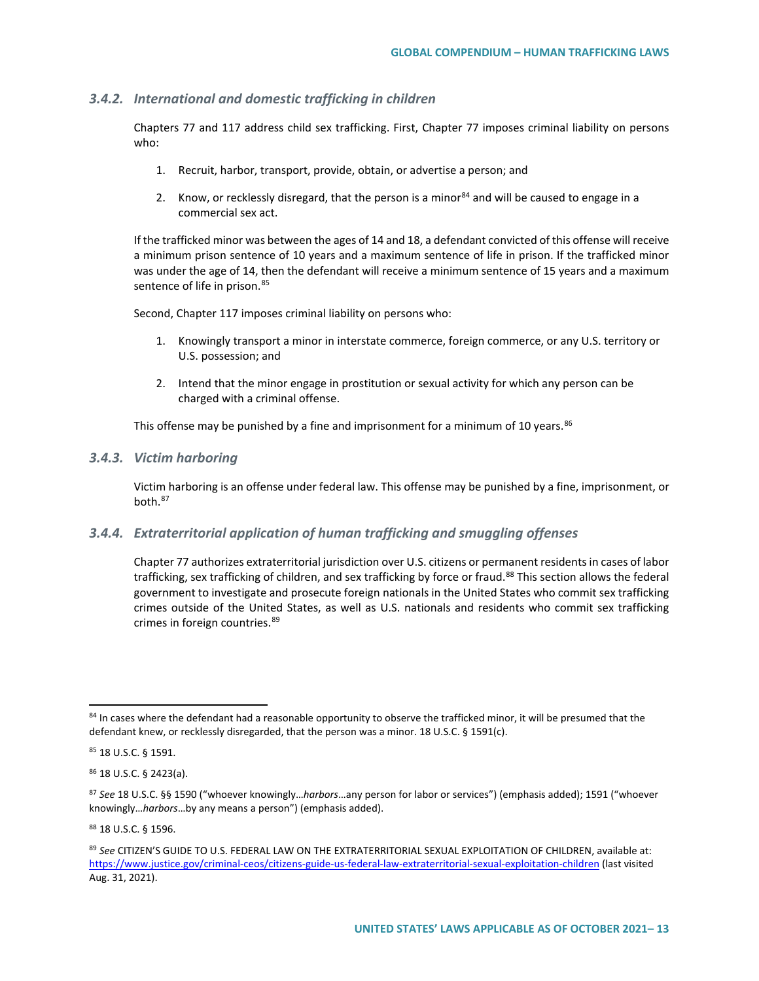#### *3.4.2. International and domestic trafficking in children*

Chapters 77 and 117 address child sex trafficking. First, Chapter 77 imposes criminal liability on persons who:

- 1. Recruit, harbor, transport, provide, obtain, or advertise a person; and
- 2. Know, or recklessly disregard, that the person is a minor  $84$  and will be caused to engage in a commercial sex act.

If the trafficked minor was between the ages of 14 and 18, a defendant convicted of this offense will receive a minimum prison sentence of 10 years and a maximum sentence of life in prison. If the trafficked minor was under the age of 14, then the defendant will receive a minimum sentence of 15 years and a maximum sentence of life in prison.<sup>[85](#page-12-1)</sup>

Second, Chapter 117 imposes criminal liability on persons who:

- 1. Knowingly transport a minor in interstate commerce, foreign commerce, or any U.S. territory or U.S. possession; and
- 2. Intend that the minor engage in prostitution or sexual activity for which any person can be charged with a criminal offense.

This offense may be punished by a fine and imprisonment for a minimum of 10 years.<sup>[86](#page-12-2)</sup>

#### *3.4.3. Victim harboring*

Victim harboring is an offense under federal law. This offense may be punished by a fine, imprisonment, or both.[87](#page-12-3)

#### *3.4.4. Extraterritorial application of human trafficking and smuggling offenses*

Chapter 77 authorizes extraterritorial jurisdiction over U.S. citizens or permanent residents in cases of labor trafficking, sex trafficking of children, and sex trafficking by force or fraud.<sup>[88](#page-12-4)</sup> This section allows the federal government to investigate and prosecute foreign nationals in the United States who commit sex trafficking crimes outside of the United States, as well as U.S. nationals and residents who commit sex trafficking crimes in foreign countries. [89](#page-12-5)

<span id="page-12-2"></span><sup>86</sup> 18 U.S.C. § 2423(a).

<span id="page-12-4"></span><sup>88</sup> 18 U.S.C. § 1596.

<span id="page-12-0"></span><sup>84</sup> In cases where the defendant had a reasonable opportunity to observe the trafficked minor, it will be presumed that the defendant knew, or recklessly disregarded, that the person was a minor. 18 U.S.C. § 1591(c).

<span id="page-12-1"></span><sup>85</sup> 18 U.S.C. § 1591.

<span id="page-12-3"></span><sup>87</sup> *See* 18 U.S.C. §§ 1590 ("whoever knowingly…*harbors*…any person for labor or services") (emphasis added); 1591 ("whoever knowingly…*harbors*…by any means a person") (emphasis added).

<span id="page-12-5"></span><sup>89</sup> *See* CITIZEN'S GUIDE TO U.S. FEDERAL LAW ON THE EXTRATERRITORIAL SEXUAL EXPLOITATION OF CHILDREN, available at: <https://www.justice.gov/criminal-ceos/citizens-guide-us-federal-law-extraterritorial-sexual-exploitation-children> (last visited Aug. 31, 2021).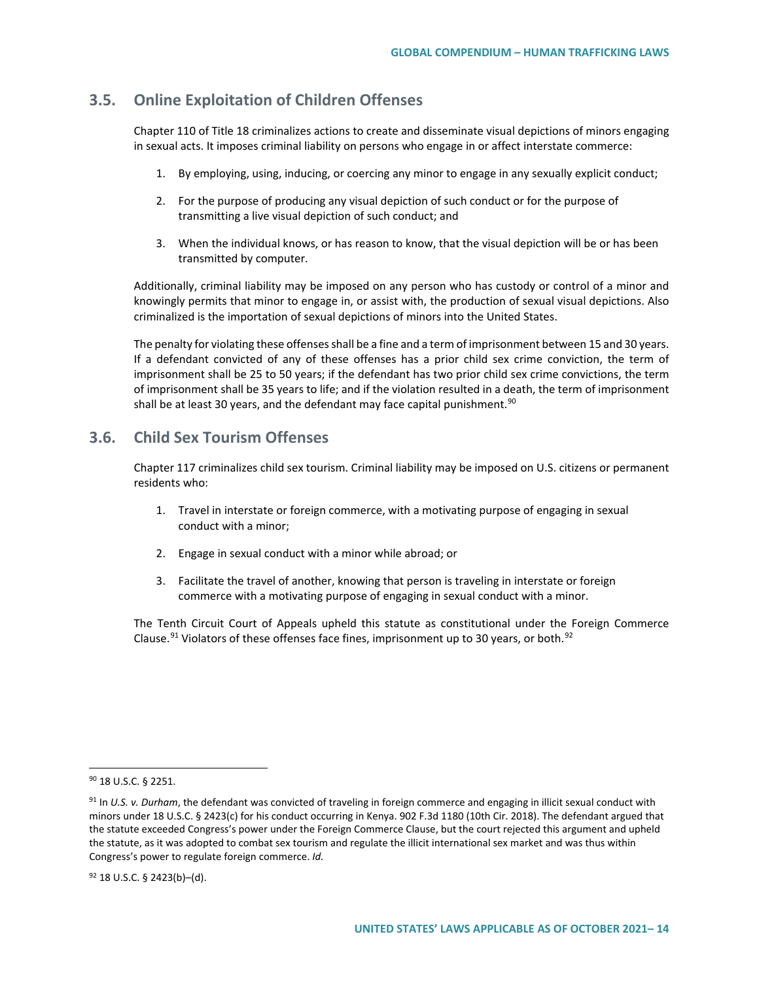### **3.5. Online Exploitation of Children Offenses**

Chapter 110 of Title 18 criminalizes actions to create and disseminate visual depictions of minors engaging in sexual acts. It imposes criminal liability on persons who engage in or affect interstate commerce:

- 1. By employing, using, inducing, or coercing any minor to engage in any sexually explicit conduct;
- 2. For the purpose of producing any visual depiction of such conduct or for the purpose of transmitting a live visual depiction of such conduct; and
- 3. When the individual knows, or has reason to know, that the visual depiction will be or has been transmitted by computer.

Additionally, criminal liability may be imposed on any person who has custody or control of a minor and knowingly permits that minor to engage in, or assist with, the production of sexual visual depictions. Also criminalized is the importation of sexual depictions of minors into the United States.

The penalty for violating these offenses shall be a fine and a term of imprisonment between 15 and 30 years. If a defendant convicted of any of these offenses has a prior child sex crime conviction, the term of imprisonment shall be 25 to 50 years; if the defendant has two prior child sex crime convictions, the term of imprisonment shall be 35 years to life; and if the violation resulted in a death, the term of imprisonment shall be at least 30 years, and the defendant may face capital punishment.<sup>[90](#page-13-0)</sup>

## **3.6. Child Sex Tourism Offenses**

Chapter 117 criminalizes child sex tourism. Criminal liability may be imposed on U.S. citizens or permanent residents who:

- 1. Travel in interstate or foreign commerce, with a motivating purpose of engaging in sexual conduct with a minor;
- 2. Engage in sexual conduct with a minor while abroad; or
- 3. Facilitate the travel of another, knowing that person is traveling in interstate or foreign commerce with a motivating purpose of engaging in sexual conduct with a minor.

The Tenth Circuit Court of Appeals upheld this statute as constitutional under the Foreign Commerce Clause.<sup>[91](#page-13-1)</sup> Violators of these offenses face fines, imprisonment up to 30 years, or both.<sup>[92](#page-13-2)</sup>

<span id="page-13-0"></span><sup>90</sup> 18 U.S.C. § 2251.

<span id="page-13-1"></span><sup>91</sup> In *U.S. v. Durham*, the defendant was convicted of traveling in foreign commerce and engaging in illicit sexual conduct with minors under 18 U.S.C. § 2423(c) for his conduct occurring in Kenya. 902 F.3d 1180 (10th Cir. 2018). The defendant argued that the statute exceeded Congress's power under the Foreign Commerce Clause, but the court rejected this argument and upheld the statute, as it was adopted to combat sex tourism and regulate the illicit international sex market and was thus within Congress's power to regulate foreign commerce. *Id.*

<span id="page-13-2"></span><sup>92</sup> 18 U.S.C. § 2423(b)–(d).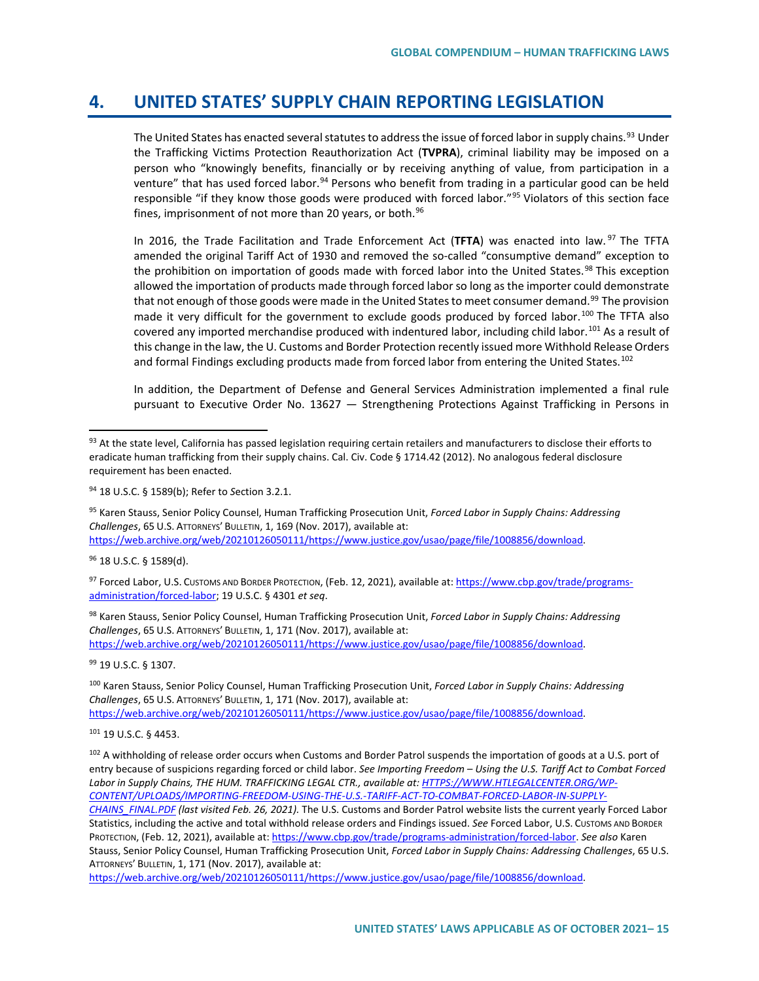## **4. UNITED STATES' SUPPLY CHAIN REPORTING LEGISLATION**

The United States has enacted several statutes to address the issue of forced labor in supply chains.<sup>[93](#page-14-0)</sup> Under the Trafficking Victims Protection Reauthorization Act (**TVPRA**), criminal liability may be imposed on a person who "knowingly benefits, financially or by receiving anything of value, from participation in a venture" that has used forced labor.<sup>[94](#page-14-1)</sup> Persons who benefit from trading in a particular good can be held responsible "if they know those goods were produced with forced labor."<sup>[95](#page-14-2)</sup> Violators of this section face fines, imprisonment of not more than 20 years, or both.<sup>96</sup>

In 2016, the Trade Facilitation and Trade Enforcement Act (**TFTA**) was enacted into law. [97](#page-14-4) The TFTA amended the original Tariff Act of 1930 and removed the so-called "consumptive demand" exception to the prohibition on importation of goods made with forced labor into the United States.<sup>[98](#page-14-5)</sup> This exception allowed the importation of products made through forced labor so long as the importer could demonstrate that not enough of those goods were made in the United States to meet consumer demand.<sup>[99](#page-14-6)</sup> The provision made it very difficult for the government to exclude goods produced by forced labor.<sup>[100](#page-14-7)</sup> The TFTA also covered any imported merchandise produced with indentured labor, including child labor.<sup>[101](#page-14-8)</sup> As a result of this change in the law, the U. Customs and Border Protection recently issued more Withhold Release Orders and formal Findings excluding products made from forced labor from entering the United States.<sup>[102](#page-14-9)</sup>

In addition, the Department of Defense and General Services Administration implemented a final rule pursuant to Executive Order No. 13627 — Strengthening Protections Against Trafficking in Persons in

<span id="page-14-2"></span><sup>95</sup> Karen Stauss, Senior Policy Counsel, Human Trafficking Prosecution Unit, *Forced Labor in Supply Chains: Addressing Challenges*, 65 U.S. ATTORNEYS' BULLETIN, 1, 169 (Nov. 2017), available at: [https://web.archive.org/web/20210126050111/https://www.justice.gov/usao/page/file/1008856/download.](https://web.archive.org/web/20210126050111/https:/www.justice.gov/usao/page/file/1008856/download) 

<span id="page-14-3"></span><sup>96</sup> 18 U.S.C. § 1589(d).

<span id="page-14-4"></span>97 Forced Labor, U.S. Customs AND BORDER PROTECTION, (Feb. 12, 2021), available at: [https://www.cbp.gov/trade/programs](https://www.cbp.gov/trade/programs-administration/forced-labor)[administration/forced-labor;](https://www.cbp.gov/trade/programs-administration/forced-labor) 19 U.S.C. § 4301 *et seq*.

<span id="page-14-5"></span><sup>98</sup> Karen Stauss, Senior Policy Counsel, Human Trafficking Prosecution Unit, *Forced Labor in Supply Chains: Addressing Challenges*, 65 U.S. ATTORNEYS' BULLETIN, 1, 171 (Nov. 2017), available at:

[https://web.archive.org/web/20210126050111/https://www.justice.gov/usao/page/file/1008856/download.](https://web.archive.org/web/20210126050111/https:/www.justice.gov/usao/page/file/1008856/download) 

<span id="page-14-6"></span>99 19 U.S.C. § 1307.

<span id="page-14-7"></span><sup>100</sup> Karen Stauss, Senior Policy Counsel, Human Trafficking Prosecution Unit, *Forced Labor in Supply Chains: Addressing Challenges*, 65 U.S. ATTORNEYS' BULLETIN, 1, 171 (Nov. 2017), available at: [https://web.archive.org/web/20210126050111/https://www.justice.gov/usao/page/file/1008856/download.](https://web.archive.org/web/20210126050111/https:/www.justice.gov/usao/page/file/1008856/download) 

<span id="page-14-8"></span><sup>101</sup> 19 U.S.C. § 4453.

<span id="page-14-9"></span><sup>102</sup> A withholding of release order occurs when Customs and Border Patrol suspends the importation of goods at a U.S. port of entry because of suspicions regarding forced or child labor. *See Importing Freedom – Using the U.S. Tariff Act to Combat Forced Labor in Supply Chains, THE HUM. TRAFFICKING LEGAL CTR., available at[: HTTPS://WWW.HTLEGALCENTER.ORG/WP-](https://www.htlegalcenter.org/WP-CONTENT/UPLOADS/IMPORTING-FREEDOM-USING-THE-U.S.-TARIFF-ACT-TO-COMBAT-FORCED-LABOR-IN-SUPPLY-CHAINS_FINAL.PDF)[CONTENT/UPLOADS/IMPORTING-FREEDOM-USING-THE-U.S.-TARIFF-ACT-TO-COMBAT-FORCED-LABOR-IN-SUPPLY-](https://www.htlegalcenter.org/WP-CONTENT/UPLOADS/IMPORTING-FREEDOM-USING-THE-U.S.-TARIFF-ACT-TO-COMBAT-FORCED-LABOR-IN-SUPPLY-CHAINS_FINAL.PDF)[CHAINS\\_FINAL.PDF](https://www.htlegalcenter.org/WP-CONTENT/UPLOADS/IMPORTING-FREEDOM-USING-THE-U.S.-TARIFF-ACT-TO-COMBAT-FORCED-LABOR-IN-SUPPLY-CHAINS_FINAL.PDF) (last visited Feb. 26, 2021).* The U.S. Customs and Border Patrol website lists the current yearly Forced Labor Statistics, including the active and total withhold release orders and Findings issued. *See* Forced Labor, U.S. CUSTOMS AND BORDER PROTECTION, (Feb. 12, 2021), available at[: https://www.cbp.gov/trade/programs-administration/forced-labor.](https://www.cbp.gov/trade/programs-administration/forced-labor) *See also* Karen Stauss, Senior Policy Counsel, Human Trafficking Prosecution Unit, *Forced Labor in Supply Chains: Addressing Challenges*, 65 U.S. ATTORNEYS' BULLETIN, 1, 171 (Nov. 2017), available at:

[https://web.archive.org/web/20210126050111/https://www.justice.gov/usao/page/file/1008856/download.](https://web.archive.org/web/20210126050111/https:/www.justice.gov/usao/page/file/1008856/download) 

<span id="page-14-0"></span><sup>93</sup> At the state level, California has passed legislation requiring certain retailers and manufacturers to disclose their efforts to eradicate human trafficking from their supply chains. Cal. Civ. Code § 1714.42 (2012). No analogous federal disclosure requirement has been enacted.

<span id="page-14-1"></span><sup>94</sup> 18 U.S.C. § 1589(b); Refer to *S*ection 3.2.1.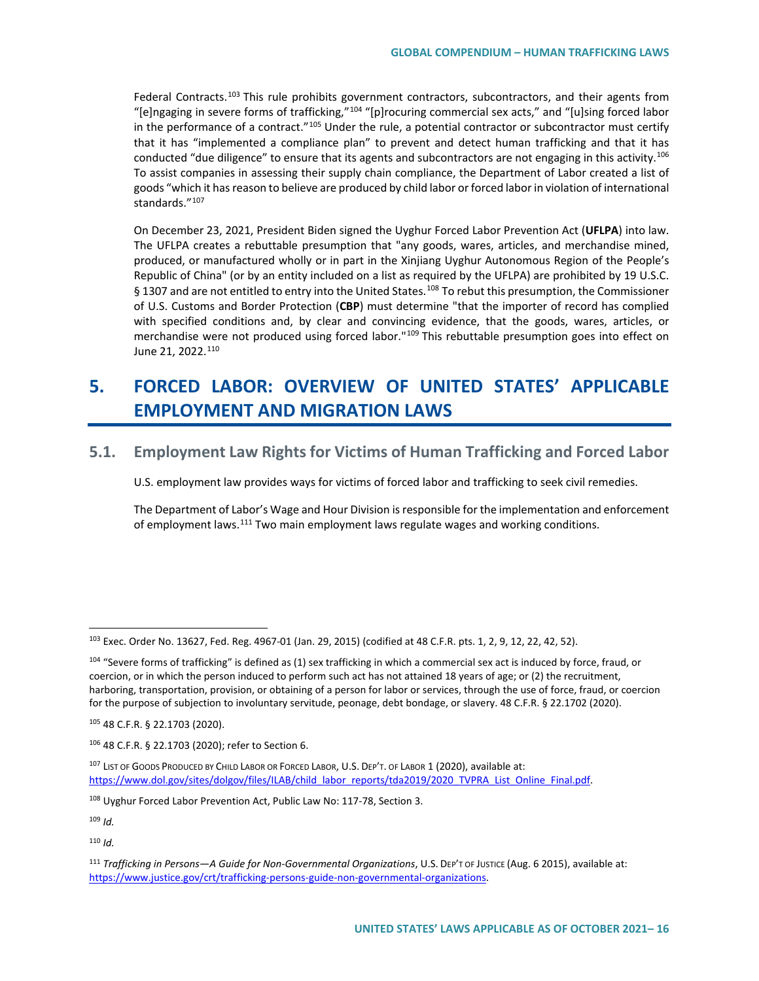Federal Contracts.<sup>[103](#page-15-0)</sup> This rule prohibits government contractors, subcontractors, and their agents from "[e]ngaging in severe forms of trafficking,"[104](#page-15-1) "[p]rocuring commercial sex acts," and "[u]sing forced labor in the performance of a contract."<sup>[105](#page-15-2)</sup> Under the rule, a potential contractor or subcontractor must certify that it has "implemented a compliance plan" to prevent and detect human trafficking and that it has conducted "due diligence" to ensure that its agents and subcontractors are not engaging in this activity.<sup>[106](#page-15-3)</sup> To assist companies in assessing their supply chain compliance, the Department of Labor created a list of goods "which it has reason to believe are produced by child labor or forced labor in violation of international standards."[107](#page-15-4)

On December 23, 2021, President Biden signed the Uyghur Forced Labor Prevention Act (**UFLPA**) into law. The UFLPA creates a rebuttable presumption that "any goods, wares, articles, and merchandise mined, produced, or manufactured wholly or in part in the Xinjiang Uyghur Autonomous Region of the People's Republic of China" (or by an entity included on a list as required by the UFLPA) are prohibited by 19 U.S.C. § 1307 and are not entitled to entry into the United States.<sup>[108](#page-15-5)</sup> To rebut this presumption, the Commissioner of U.S. Customs and Border Protection (**CBP**) must determine "that the importer of record has complied with specified conditions and, by clear and convincing evidence, that the goods, wares, articles, or merchandise were not produced using forced labor."<sup>[109](#page-15-6)</sup> This rebuttable presumption goes into effect on June 21, 2022.<sup>[110](#page-15-7)</sup>

# **5. FORCED LABOR: OVERVIEW OF UNITED STATES' APPLICABLE EMPLOYMENT AND MIGRATION LAWS**

### **5.1. Employment Law Rights for Victims of Human Trafficking and Forced Labor**

U.S. employment law provides ways for victims of forced labor and trafficking to seek civil remedies.

The Department of Labor's Wage and Hour Division is responsible for the implementation and enforcement of employment laws.<sup>[111](#page-15-8)</sup> Two main employment laws regulate wages and working conditions.

<span id="page-15-7"></span><sup>110</sup> *Id.*

<span id="page-15-0"></span><sup>103</sup> Exec. Order No. 13627, Fed. Reg. 4967-01 (Jan. 29, 2015) (codified at 48 C.F.R. pts. 1, 2, 9, 12, 22, 42, 52).

<span id="page-15-1"></span><sup>&</sup>lt;sup>104</sup> "Severe forms of trafficking" is defined as (1) sex trafficking in which a commercial sex act is induced by force, fraud, or coercion, or in which the person induced to perform such act has not attained 18 years of age; or (2) the recruitment, harboring, transportation, provision, or obtaining of a person for labor or services, through the use of force, fraud, or coercion for the purpose of subjection to involuntary servitude, peonage, debt bondage, or slavery. 48 C.F.R. § 22.1702 (2020).

<span id="page-15-2"></span><sup>105</sup> 48 C.F.R. § 22.1703 (2020).

<span id="page-15-3"></span><sup>106</sup> 48 C.F.R. § 22.1703 (2020); refer to Section 6.

<span id="page-15-4"></span><sup>107</sup> LIST OF GOODS PRODUCED BY CHILD LABOR OR FORCED LABOR, U.S. DEP'T. OF LABOR 1 (2020), available at: https://www.dol.gov/sites/dolgov/files/ILAB/child\_labor\_reports/tda2019/2020\_TVPRA\_List\_Online\_Final.pdf.

<span id="page-15-5"></span><sup>&</sup>lt;sup>108</sup> Uyghur Forced Labor Prevention Act, Public Law No: 117-78, Section 3.

<span id="page-15-6"></span><sup>109</sup> *Id.*

<span id="page-15-8"></span><sup>111</sup> *Trafficking in Persons—A Guide for Non-Governmental Organizations*, U.S. DEP'T OF JUSTICE (Aug. 6 2015), available at: [https://www.justice.gov/crt/trafficking-persons-guide-non-governmental-organizations.](https://www.justice.gov/crt/trafficking-persons-guide-non-governmental-organizations)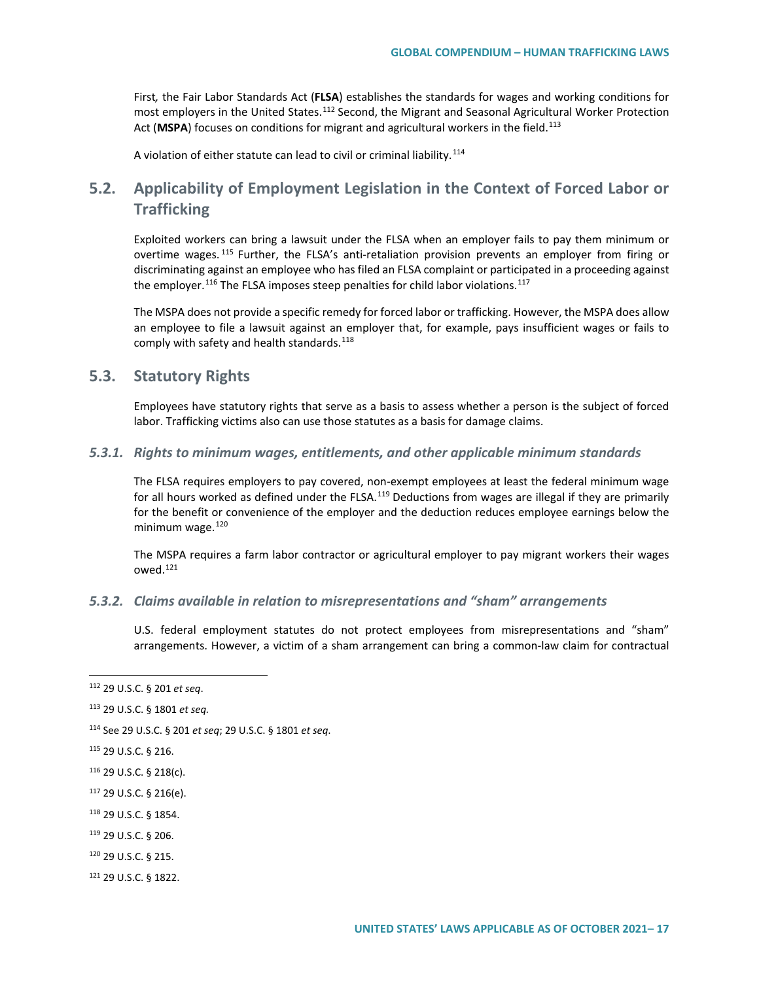First*,* the Fair Labor Standards Act (**FLSA**) establishes the standards for wages and working conditions for most employers in the United States.<sup>[112](#page-16-0)</sup> Second, the Migrant and Seasonal Agricultural Worker Protection Act (MSPA) focuses on conditions for migrant and agricultural workers in the field.<sup>[113](#page-16-1)</sup>

A violation of either statute can lead to civil or criminal liability.<sup>[114](#page-16-2)</sup>

## **5.2. Applicability of Employment Legislation in the Context of Forced Labor or Trafficking**

Exploited workers can bring a lawsuit under the FLSA when an employer fails to pay them minimum or overtime wages.<sup>[115](#page-16-3)</sup> Further, the FLSA's anti-retaliation provision prevents an employer from firing or discriminating against an employee who has filed an FLSA complaint or participated in a proceeding against the employer.<sup>[116](#page-16-4)</sup> The FLSA imposes steep penalties for child labor violations.<sup>[117](#page-16-5)</sup>

The MSPA does not provide a specific remedy for forced labor or trafficking. However, the MSPA does allow an employee to file a lawsuit against an employer that, for example, pays insufficient wages or fails to comply with safety and health standards.<sup>[118](#page-16-6)</sup>

### **5.3. Statutory Rights**

Employees have statutory rights that serve as a basis to assess whether a person is the subject of forced labor. Trafficking victims also can use those statutes as a basis for damage claims.

#### *5.3.1. Rights to minimum wages, entitlements, and other applicable minimum standards*

The FLSA requires employers to pay covered, non-exempt employees at least the federal minimum wage for all hours worked as defined under the FLSA.<sup>[119](#page-16-7)</sup> Deductions from wages are illegal if they are primarily for the benefit or convenience of the employer and the deduction reduces employee earnings below the minimum wage. $120$ 

The MSPA requires a farm labor contractor or agricultural employer to pay migrant workers their wages owed.[121](#page-16-9)

#### *5.3.2. Claims available in relation to misrepresentations and "sham" arrangements*

U.S. federal employment statutes do not protect employees from misrepresentations and "sham" arrangements. However, a victim of a sham arrangement can bring a common-law claim for contractual

<span id="page-16-1"></span><sup>113</sup> 29 U.S.C. § 1801 *et seq.*

- <span id="page-16-3"></span><sup>115</sup> 29 U.S.C. § 216.
- <span id="page-16-4"></span><sup>116</sup> 29 U.S.C. § 218(c).
- <span id="page-16-5"></span><sup>117</sup> 29 U.S.C. § 216(e).
- <span id="page-16-6"></span><sup>118</sup> 29 U.S.C. § 1854.
- <span id="page-16-7"></span><sup>119</sup> 29 U.S.C. § 206.
- <span id="page-16-8"></span><sup>120</sup> 29 U.S.C. § 215.
- <span id="page-16-9"></span><sup>121</sup> 29 U.S.C. § 1822.

<span id="page-16-0"></span><sup>112</sup> 29 U.S.C. § 201 *et seq*.

<span id="page-16-2"></span><sup>114</sup> See 29 U.S.C. § 201 *et seq*; 29 U.S.C. § 1801 *et seq*.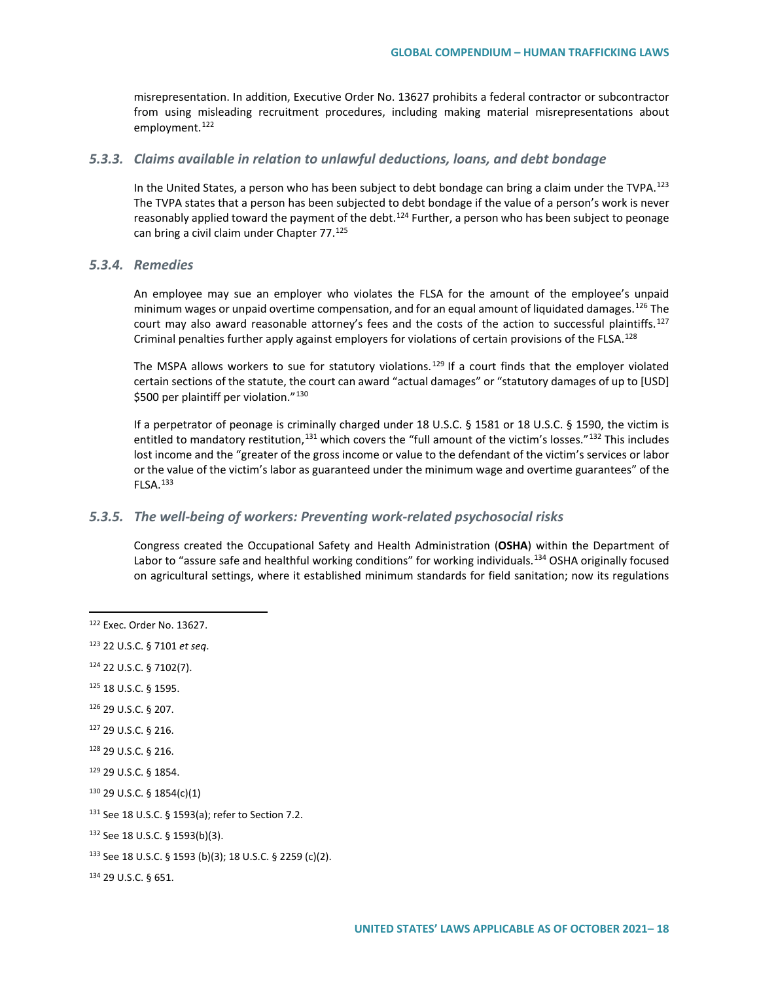misrepresentation. In addition, Executive Order No. 13627 prohibits a federal contractor or subcontractor from using misleading recruitment procedures, including making material misrepresentations about employment.<sup>[122](#page-17-0)</sup>

#### *5.3.3. Claims available in relation to unlawful deductions, loans, and debt bondage*

In the United States, a person who has been subject to debt bondage can bring a claim under the TVPA.<sup>[123](#page-17-1)</sup> The TVPA states that a person has been subjected to debt bondage if the value of a person's work is never reasonably applied toward the payment of the debt.<sup>[124](#page-17-2)</sup> Further, a person who has been subject to peonage can bring a civil claim under Chapter 77.[125](#page-17-3)

#### *5.3.4. Remedies*

An employee may sue an employer who violates the FLSA for the amount of the employee's unpaid minimum wages or unpaid overtime compensation, and for an equal amount of liquidated damages.<sup>[126](#page-17-4)</sup> The court may also award reasonable attorney's fees and the costs of the action to successful plaintiffs.<sup>[127](#page-17-5)</sup> Criminal penalties further apply against employers for violations of certain provisions of the FLSA.[128](#page-17-6)

The MSPA allows workers to sue for statutory violations.<sup>[129](#page-17-7)</sup> If a court finds that the employer violated certain sections of the statute, the court can award "actual damages" or "statutory damages of up to [USD] \$500 per plaintiff per violation."<sup>[130](#page-17-8)</sup>

If a perpetrator of peonage is criminally charged under 18 U.S.C. § 1581 or 18 U.S.C. § 1590, the victim is entitled to mandatory restitution,  $131$  which covers the "full amount of the victim's losses."  $132$  This includes lost income and the "greater of the gross income or value to the defendant of the victim's services or labor or the value of the victim's labor as guaranteed under the minimum wage and overtime guarantees" of the FLSA.[133](#page-17-11)

#### *5.3.5. The well-being of workers: Preventing work-related psychosocial risks*

Congress created the Occupational Safety and Health Administration (**OSHA**) within the Department of Labor to "assure safe and healthful working conditions" for working individuals.<sup>[134](#page-17-12)</sup> OSHA originally focused on agricultural settings, where it established minimum standards for field sanitation; now its regulations

<span id="page-17-0"></span><sup>122</sup> Exec. Order No. 13627.

<span id="page-17-1"></span><sup>123</sup> 22 U.S.C. § 7101 *et seq*.

<span id="page-17-2"></span><sup>124</sup> 22 U.S.C. § 7102(7).

<span id="page-17-3"></span><sup>125</sup> 18 U.S.C. § 1595.

<span id="page-17-4"></span><sup>126</sup> 29 U.S.C. § 207.

<span id="page-17-5"></span><sup>127</sup> 29 U.S.C. § 216.

<span id="page-17-6"></span><sup>128</sup> 29 U.S.C. § 216.

<span id="page-17-7"></span><sup>129</sup> 29 U.S.C. § 1854.

<span id="page-17-8"></span><sup>130</sup> 29 U.S.C. § 1854(c)(1)

<span id="page-17-9"></span><sup>131</sup> See 18 U.S.C. § 1593(a); refer to Section 7.2.

<span id="page-17-10"></span><sup>132</sup> See 18 U.S.C. § 1593(b)(3).

<span id="page-17-11"></span><sup>133</sup> See 18 U.S.C. § 1593 (b)(3); 18 U.S.C. § 2259 (c)(2).

<span id="page-17-12"></span><sup>134</sup> 29 U.S.C. § 651.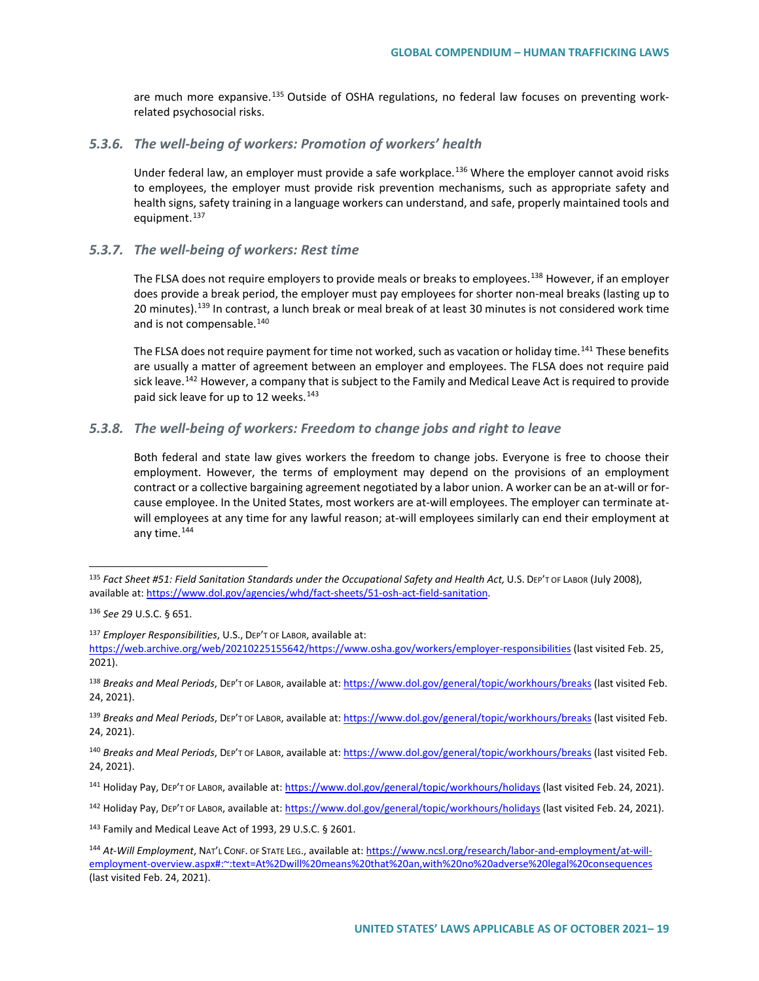are much more expansive.<sup>[135](#page-18-0)</sup> Outside of OSHA regulations, no federal law focuses on preventing workrelated psychosocial risks.

#### *5.3.6. The well-being of workers: Promotion of workers' health*

Under federal law, an employer must provide a safe workplace.<sup>[136](#page-18-1)</sup> Where the employer cannot avoid risks to employees, the employer must provide risk prevention mechanisms, such as appropriate safety and health signs, safety training in a language workers can understand, and safe, properly maintained tools and equipment.<sup>[137](#page-18-2)</sup>

#### *5.3.7. The well-being of workers: Rest time*

The FLSA does not require employers to provide meals or breaks to employees.<sup>[138](#page-18-3)</sup> However, if an employer does provide a break period, the employer must pay employees for shorter non-meal breaks (lasting up to 20 minutes).<sup>[139](#page-18-4)</sup> In contrast, a lunch break or meal break of at least 30 minutes is not considered work time and is not compensable.<sup>[140](#page-18-5)</sup>

The FLSA does not require payment for time not worked, such as vacation or holiday time.<sup>[141](#page-18-6)</sup> These benefits are usually a matter of agreement between an employer and employees. The FLSA does not require paid sick leave.<sup>[142](#page-18-7)</sup> However, a company that is subject to the Family and Medical Leave Act is required to provide paid sick leave for up to 12 weeks.<sup>[143](#page-18-8)</sup>

#### *5.3.8. The well-being of workers: Freedom to change jobs and right to leave*

Both federal and state law gives workers the freedom to change jobs. Everyone is free to choose their employment. However, the terms of employment may depend on the provisions of an employment contract or a collective bargaining agreement negotiated by a labor union. A worker can be an at-will or forcause employee. In the United States, most workers are at-will employees. The employer can terminate atwill employees at any time for any lawful reason; at-will employees similarly can end their employment at any time.<sup>[144](#page-18-9)</sup>

<span id="page-18-8"></span><sup>143</sup> Family and Medical Leave Act of 1993, 29 U.S.C. § 2601.

<span id="page-18-0"></span><sup>135</sup> *Fact Sheet #51: Field Sanitation Standards under the Occupational Safety and Health Act,* U.S. DEP'T OF LABOR (July 2008), available at[: https://www.dol.gov/agencies/whd/fact-sheets/51-osh-act-field-sanitation.](https://www.dol.gov/agencies/whd/fact-sheets/51-osh-act-field-sanitation) 

<span id="page-18-1"></span><sup>136</sup> *See* 29 U.S.C. § 651.

<span id="page-18-2"></span><sup>137</sup> *Employer Responsibilities*, U.S., DEP'T OF LABOR, available at: [https://web.archive.org/web/20210225155642/https://www.osha.gov/workers/employer-responsibilities](https://web.archive.org/web/20210225155642/https:/www.osha.gov/workers/employer-responsibilities) (last visited Feb. 25, 2021).

<span id="page-18-3"></span><sup>138</sup> *Breaks and Meal Periods*, DEP'T OF LABOR, available at[: https://www.dol.gov/general/topic/workhours/breaks](https://www.dol.gov/general/topic/workhours/breaks) (last visited Feb. 24, 2021).

<span id="page-18-4"></span><sup>139</sup> *Breaks and Meal Periods*, DEP'T OF LABOR, available at[: https://www.dol.gov/general/topic/workhours/breaks](https://www.dol.gov/general/topic/workhours/breaks) (last visited Feb. 24, 2021).

<span id="page-18-5"></span><sup>140</sup> *Breaks and Meal Periods*, DEP'T OF LABOR, available at[: https://www.dol.gov/general/topic/workhours/breaks](https://www.dol.gov/general/topic/workhours/breaks) (last visited Feb. 24, 2021).

<span id="page-18-6"></span><sup>141</sup> Holiday Pay, DEP'T OF LABOR, available at:<https://www.dol.gov/general/topic/workhours/holidays> (last visited Feb. 24, 2021).

<span id="page-18-7"></span><sup>142</sup> Holiday Pay, DEP'T OF LABOR, available at:<https://www.dol.gov/general/topic/workhours/holidays> (last visited Feb. 24, 2021).

<span id="page-18-9"></span><sup>144</sup> *At-Will Employment*, NAT'L CONF. OF STATE LEG., available at[: https://www.ncsl.org/research/labor-and-employment/at-will](https://www.ncsl.org/research/labor-and-employment/at-will-employment-overview.aspx#:%7E:text=At%2Dwill%20means%20that%20an,with%20no%20adverse%20legal%20consequences)[employment-overview.aspx#:~:text=At%2Dwill%20means%20that%20an,with%20no%20adverse%20legal%20consequences](https://www.ncsl.org/research/labor-and-employment/at-will-employment-overview.aspx#:%7E:text=At%2Dwill%20means%20that%20an,with%20no%20adverse%20legal%20consequences) (last visited Feb. 24, 2021).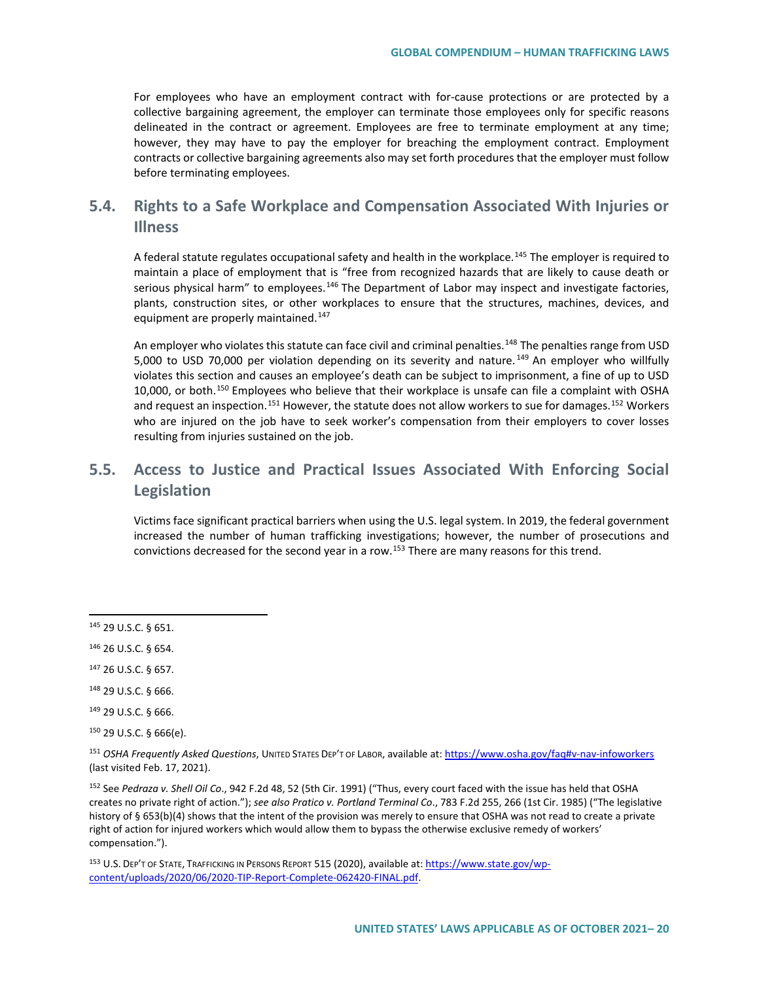For employees who have an employment contract with for-cause protections or are protected by a collective bargaining agreement, the employer can terminate those employees only for specific reasons delineated in the contract or agreement. Employees are free to terminate employment at any time; however, they may have to pay the employer for breaching the employment contract. Employment contracts or collective bargaining agreements also may set forth procedures that the employer must follow before terminating employees.

## **5.4. Rights to a Safe Workplace and Compensation Associated With Injuries or Illness**

A federal statute regulates occupational safety and health in the workplace.[145](#page-19-0) The employer is required to maintain a place of employment that is "free from recognized hazards that are likely to cause death or serious physical harm" to employees.<sup>[146](#page-19-1)</sup> The Department of Labor may inspect and investigate factories, plants, construction sites, or other workplaces to ensure that the structures, machines, devices, and equipment are properly maintained.<sup>147</sup>

An employer who violates this statute can face civil and criminal penalties.<sup>[148](#page-19-3)</sup> The penalties range from USD 5,000 to USD 70,000 per violation depending on its severity and nature.<sup>[149](#page-19-4)</sup> An employer who willfully violates this section and causes an employee's death can be subject to imprisonment, a fine of up to USD 10,000, or both.[150](#page-19-5) Employees who believe that their workplace is unsafe can file a complaint with OSHA and request an inspection.<sup>[151](#page-19-6)</sup> However, the statute does not allow workers to sue for damages.<sup>[152](#page-19-7)</sup> Workers who are injured on the job have to seek worker's compensation from their employers to cover losses resulting from injuries sustained on the job.

## **5.5. Access to Justice and Practical Issues Associated With Enforcing Social Legislation**

Victims face significant practical barriers when using the U.S. legal system. In 2019, the federal government increased the number of human trafficking investigations; however, the number of prosecutions and convictions decreased for the second year in a row.<sup>[153](#page-19-8)</sup> There are many reasons for this trend.

<span id="page-19-0"></span><sup>145</sup> 29 U.S.C. § 651.

<span id="page-19-7"></span><sup>152</sup> See *Pedraza v. Shell Oil Co*., 942 F.2d 48, 52 (5th Cir. 1991) ("Thus, every court faced with the issue has held that OSHA creates no private right of action."); *see also Pratico v. Portland Terminal Co*., 783 F.2d 255, 266 (1st Cir. 1985) ("The legislative history of § 653(b)(4) shows that the intent of the provision was merely to ensure that OSHA was not read to create a private right of action for injured workers which would allow them to bypass the otherwise exclusive remedy of workers' compensation.").

<span id="page-19-8"></span><sup>153</sup> U.S. DEP'T OF STATE, TRAFFICKING IN PERSONS REPORT 515 (2020), available at[: https://www.state.gov/wp](https://www.state.gov/wp-content/uploads/2020/06/2020-TIP-Report-Complete-062420-FINAL.pdf)[content/uploads/2020/06/2020-TIP-Report-Complete-062420-FINAL.pdf.](https://www.state.gov/wp-content/uploads/2020/06/2020-TIP-Report-Complete-062420-FINAL.pdf) 

<span id="page-19-1"></span><sup>146</sup> 26 U.S.C. § 654.

<span id="page-19-2"></span><sup>147</sup> 26 U.S.C. § 657.

<span id="page-19-3"></span><sup>148</sup> 29 U.S.C. § 666.

<span id="page-19-4"></span><sup>149</sup> 29 U.S.C. § 666.

<span id="page-19-5"></span><sup>150</sup> 29 U.S.C. § 666(e).

<span id="page-19-6"></span><sup>151</sup> *OSHA Frequently Asked Questions*, UNITED STATES DEP'T OF LABOR, available at: [https://www.osha.gov/faq#v-nav-infoworkers](https://www.osha.gov/faq%23v-nav-infoworkers) (last visited Feb. 17, 2021).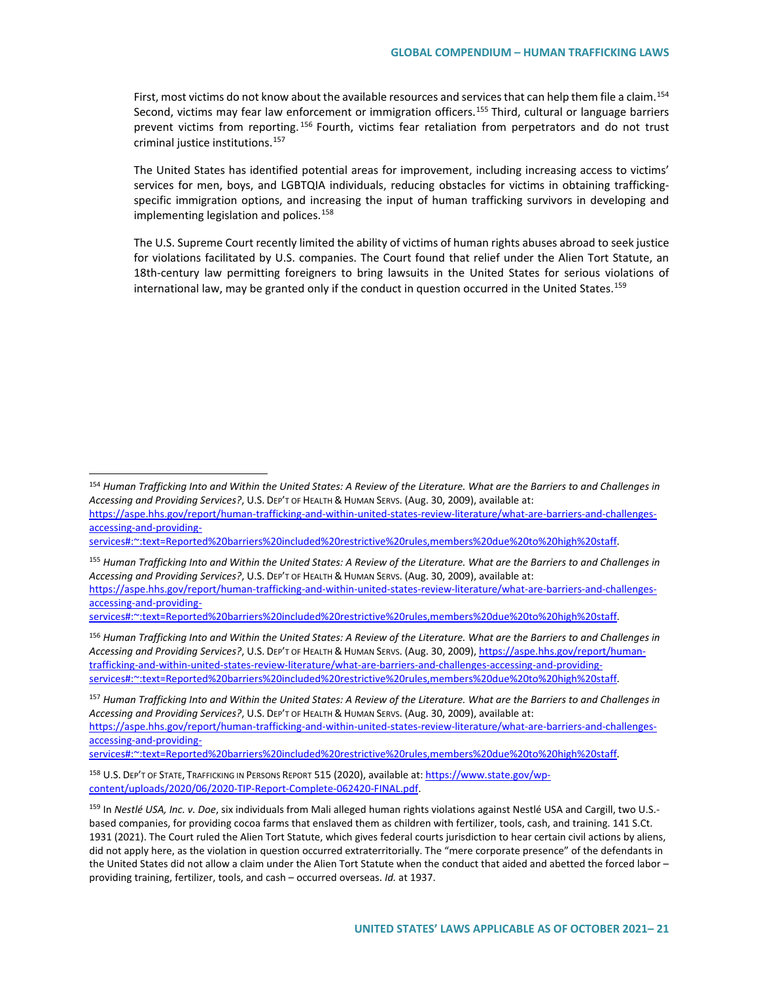First, most victims do not know about the available resources and services that can help them file a claim.<sup>[154](#page-20-0)</sup> Second, victims may fear law enforcement or immigration officers.<sup>[155](#page-20-1)</sup> Third, cultural or language barriers prevent victims from reporting. [156](#page-20-2) Fourth, victims fear retaliation from perpetrators and do not trust criminal justice institutions.<sup>[157](#page-20-3)</sup>

The United States has identified potential areas for improvement, including increasing access to victims' services for men, boys, and LGBTQIA individuals, reducing obstacles for victims in obtaining traffickingspecific immigration options, and increasing the input of human trafficking survivors in developing and implementing legislation and polices.<sup>[158](#page-20-4)</sup>

The U.S. Supreme Court recently limited the ability of victims of human rights abuses abroad to seek justice for violations facilitated by U.S. companies. The Court found that relief under the Alien Tort Statute, an 18th-century law permitting foreigners to bring lawsuits in the United States for serious violations of international law, may be granted only if the conduct in question occurred in the United States.<sup>[159](#page-20-5)</sup>

[services#:~:text=Reported%20barriers%20included%20restrictive%20rules,members%20due%20to%20high%20staff.](https://aspe.hhs.gov/report/human-trafficking-and-within-united-states-review-literature/what-are-barriers-and-challenges-accessing-and-providing-services#:%7E:text=Reported%20barriers%20included%20restrictive%20rules,members%20due%20to%20high%20staff) 

<span id="page-20-1"></span><sup>155</sup> *Human Trafficking Into and Within the United States: A Review of the Literature. What are the Barriers to and Challenges in Accessing and Providing Services?*, U.S. DEP'T OF HEALTH & HUMAN SERVS. (Aug. 30, 2009), available at: [https://aspe.hhs.gov/report/human-trafficking-and-within-united-states-review-literature/what-are-barriers-and-challenges](https://aspe.hhs.gov/report/human-trafficking-and-within-united-states-review-literature/what-are-barriers-and-challenges-accessing-and-providing-services#:%7E:text=Reported%20barriers%20included%20restrictive%20rules,members%20due%20to%20high%20staff)[accessing-and-providing-](https://aspe.hhs.gov/report/human-trafficking-and-within-united-states-review-literature/what-are-barriers-and-challenges-accessing-and-providing-services#:%7E:text=Reported%20barriers%20included%20restrictive%20rules,members%20due%20to%20high%20staff)

[services#:~:text=Reported%20barriers%20included%20restrictive%20rules,members%20due%20to%20high%20staff.](https://aspe.hhs.gov/report/human-trafficking-and-within-united-states-review-literature/what-are-barriers-and-challenges-accessing-and-providing-services#:%7E:text=Reported%20barriers%20included%20restrictive%20rules,members%20due%20to%20high%20staff) 

<span id="page-20-2"></span><sup>156</sup> *Human Trafficking Into and Within the United States: A Review of the Literature. What are the Barriers to and Challenges in Accessing and Providing Services?*, U.S. DEP'T OF HEALTH & HUMAN SERVS. (Aug. 30, 2009)[, https://aspe.hhs.gov/report/human](https://aspe.hhs.gov/report/human-trafficking-and-within-united-states-review-literature/what-are-barriers-and-challenges-accessing-and-providing-services#:%7E:text=Reported%20barriers%20included%20restrictive%20rules,members%20due%20to%20high%20staff)[trafficking-and-within-united-states-review-literature/what-are-barriers-and-challenges-accessing-and-providing](https://aspe.hhs.gov/report/human-trafficking-and-within-united-states-review-literature/what-are-barriers-and-challenges-accessing-and-providing-services#:%7E:text=Reported%20barriers%20included%20restrictive%20rules,members%20due%20to%20high%20staff)[services#:~:text=Reported%20barriers%20included%20restrictive%20rules,members%20due%20to%20high%20staff.](https://aspe.hhs.gov/report/human-trafficking-and-within-united-states-review-literature/what-are-barriers-and-challenges-accessing-and-providing-services#:%7E:text=Reported%20barriers%20included%20restrictive%20rules,members%20due%20to%20high%20staff) 

<span id="page-20-3"></span><sup>157</sup> *Human Trafficking Into and Within the United States: A Review of the Literature. What are the Barriers to and Challenges in Accessing and Providing Services?*, U.S. DEP'T OF HEALTH & HUMAN SERVS. (Aug. 30, 2009), available at: [https://aspe.hhs.gov/report/human-trafficking-and-within-united-states-review-literature/what-are-barriers-and-challenges](https://aspe.hhs.gov/report/human-trafficking-and-within-united-states-review-literature/what-are-barriers-and-challenges-accessing-and-providing-services#:%7E:text=Reported%20barriers%20included%20restrictive%20rules,members%20due%20to%20high%20staff)[accessing-and-providing-](https://aspe.hhs.gov/report/human-trafficking-and-within-united-states-review-literature/what-are-barriers-and-challenges-accessing-and-providing-services#:%7E:text=Reported%20barriers%20included%20restrictive%20rules,members%20due%20to%20high%20staff)

[services#:~:text=Reported%20barriers%20included%20restrictive%20rules,members%20due%20to%20high%20staff.](https://aspe.hhs.gov/report/human-trafficking-and-within-united-states-review-literature/what-are-barriers-and-challenges-accessing-and-providing-services#:%7E:text=Reported%20barriers%20included%20restrictive%20rules,members%20due%20to%20high%20staff) 

<span id="page-20-4"></span><sup>158</sup> U.S. DEP'T OF STATE, TRAFFICKING IN PERSONS REPORT 515 (2020), available at[: https://www.state.gov/wp](https://www.state.gov/wp-content/uploads/2020/06/2020-TIP-Report-Complete-062420-FINAL.pdf)[content/uploads/2020/06/2020-TIP-Report-Complete-062420-FINAL.pdf.](https://www.state.gov/wp-content/uploads/2020/06/2020-TIP-Report-Complete-062420-FINAL.pdf) 

<span id="page-20-0"></span><sup>154</sup> *Human Trafficking Into and Within the United States: A Review of the Literature. What are the Barriers to and Challenges in Accessing and Providing Services?*, U.S. DEP'T OF HEALTH & HUMAN SERVS. (Aug. 30, 2009), available at:

[https://aspe.hhs.gov/report/human-trafficking-and-within-united-states-review-literature/what-are-barriers-and-challenges](https://aspe.hhs.gov/report/human-trafficking-and-within-united-states-review-literature/what-are-barriers-and-challenges-accessing-and-providing-services#:%7E:text=Reported%20barriers%20included%20restrictive%20rules,members%20due%20to%20high%20staff)[accessing-and-providing-](https://aspe.hhs.gov/report/human-trafficking-and-within-united-states-review-literature/what-are-barriers-and-challenges-accessing-and-providing-services#:%7E:text=Reported%20barriers%20included%20restrictive%20rules,members%20due%20to%20high%20staff)

<span id="page-20-5"></span><sup>159</sup> In *Nestlé USA, Inc. v. Doe*, six individuals from Mali alleged human rights violations against Nestlé USA and Cargill, two U.S. based companies, for providing cocoa farms that enslaved them as children with fertilizer, tools, cash, and training. 141 S.Ct. 1931 (2021). The Court ruled the Alien Tort Statute, which gives federal courts jurisdiction to hear certain civil actions by aliens, did not apply here, as the violation in question occurred extraterritorially. The "mere corporate presence" of the defendants in the United States did not allow a claim under the Alien Tort Statute when the conduct that aided and abetted the forced labor – providing training, fertilizer, tools, and cash – occurred overseas. *Id.* at 1937.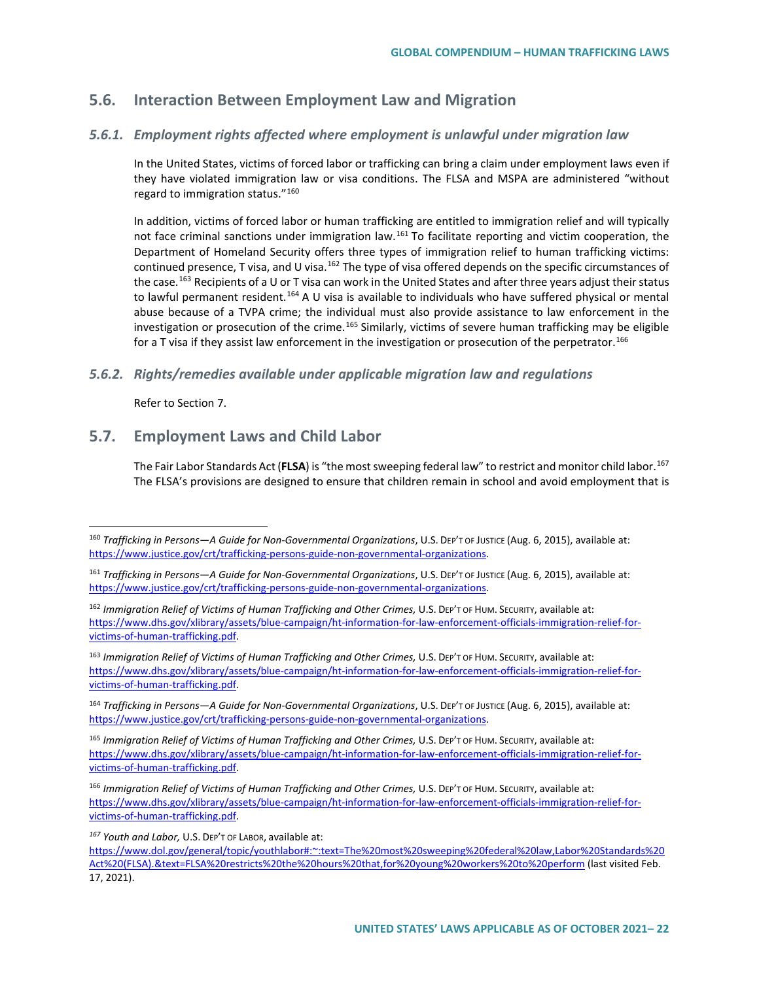## **5.6. Interaction Between Employment Law and Migration**

### *5.6.1. Employment rights affected where employment is unlawful under migration law*

In the United States, victims of forced labor or trafficking can bring a claim under employment laws even if they have violated immigration law or visa conditions. The FLSA and MSPA are administered "without regard to immigration status."[160](#page-21-0)

In addition, victims of forced labor or human trafficking are entitled to immigration relief and will typically not face criminal sanctions under immigration law.<sup>[161](#page-21-1)</sup> To facilitate reporting and victim cooperation, the Department of Homeland Security offers three types of immigration relief to human trafficking victims: continued presence, T visa, and U visa.<sup>[162](#page-21-2)</sup> The type of visa offered depends on the specific circumstances of the case.<sup>163</sup> Recipients of a U or T visa can work in the United States and after three years adjust their status to lawful permanent resident.<sup>[164](#page-21-4)</sup> A U visa is available to individuals who have suffered physical or mental abuse because of a TVPA crime; the individual must also provide assistance to law enforcement in the investigation or prosecution of the crime.<sup>[165](#page-21-5)</sup> Similarly, victims of severe human trafficking may be eligible for a T visa if they assist law enforcement in the investigation or prosecution of the perpetrator.<sup>[166](#page-21-6)</sup>

### *5.6.2. Rights/remedies available under applicable migration law and regulations*

Refer to Section 7.

### **5.7. Employment Laws and Child Labor**

The Fair Labor Standards Act (**FLSA**) is "the most sweeping federal law" to restrict and monitor child labor.[167](#page-21-7) The FLSA's provisions are designed to ensure that children remain in school and avoid employment that is

<span id="page-21-3"></span><sup>163</sup> *Immigration Relief of Victims of Human Trafficking and Other Crimes,* U.S. DEP'T OF HUM. SECURITY, available at: [https://www.dhs.gov/xlibrary/assets/blue-campaign/ht-information-for-law-enforcement-officials-immigration-relief-for](https://www.dhs.gov/xlibrary/assets/blue-campaign/ht-information-for-law-enforcement-officials-immigration-relief-for-victims-of-human-trafficking.pdf)[victims-of-human-trafficking.pdf.](https://www.dhs.gov/xlibrary/assets/blue-campaign/ht-information-for-law-enforcement-officials-immigration-relief-for-victims-of-human-trafficking.pdf) 

<span id="page-21-4"></span><sup>164</sup> *Trafficking in Persons—A Guide for Non-Governmental Organizations*, U.S. DEP'T OF JUSTICE (Aug. 6, 2015), available at: [https://www.justice.gov/crt/trafficking-persons-guide-non-governmental-organizations.](https://www.justice.gov/crt/trafficking-persons-guide-non-governmental-organizations) 

<span id="page-21-5"></span><sup>165</sup> *Immigration Relief of Victims of Human Trafficking and Other Crimes,* U.S. DEP'T OF HUM. SECURITY, available at: [https://www.dhs.gov/xlibrary/assets/blue-campaign/ht-information-for-law-enforcement-officials-immigration-relief-for](https://www.dhs.gov/xlibrary/assets/blue-campaign/ht-information-for-law-enforcement-officials-immigration-relief-for-victims-of-human-trafficking.pdf)[victims-of-human-trafficking.pdf.](https://www.dhs.gov/xlibrary/assets/blue-campaign/ht-information-for-law-enforcement-officials-immigration-relief-for-victims-of-human-trafficking.pdf) 

<span id="page-21-6"></span><sup>166</sup> *Immigration Relief of Victims of Human Trafficking and Other Crimes,* U.S. DEP'T OF HUM. SECURITY, available at: [https://www.dhs.gov/xlibrary/assets/blue-campaign/ht-information-for-law-enforcement-officials-immigration-relief-for](https://www.dhs.gov/xlibrary/assets/blue-campaign/ht-information-for-law-enforcement-officials-immigration-relief-for-victims-of-human-trafficking.pdf)[victims-of-human-trafficking.pdf.](https://www.dhs.gov/xlibrary/assets/blue-campaign/ht-information-for-law-enforcement-officials-immigration-relief-for-victims-of-human-trafficking.pdf) 

<span id="page-21-7"></span>*<sup>167</sup> Youth and Labor,* U.S. DEP'T OF LABOR, available at:

[https://www.dol.gov/general/topic/youthlabor#:~:text=The%20most%20sweeping%20federal%20law,Labor%20Standards%20](https://www.dol.gov/general/topic/youthlabor#:%7E:text=The%20most%20sweeping%20federal%20law,Labor%20Standards%20Act%20(FLSA).&text=FLSA%20restricts%20the%20hours%20that,for%20young%20workers%20to%20perform) [Act%20\(FLSA\).&text=FLSA%20restricts%20the%20hours%20that,for%20young%20workers%20to%20perform](https://www.dol.gov/general/topic/youthlabor#:%7E:text=The%20most%20sweeping%20federal%20law,Labor%20Standards%20Act%20(FLSA).&text=FLSA%20restricts%20the%20hours%20that,for%20young%20workers%20to%20perform) (last visited Feb. 17, 2021).

<span id="page-21-0"></span><sup>160</sup> *Trafficking in Persons—A Guide for Non-Governmental Organizations*, U.S. DEP'T OF JUSTICE (Aug. 6, 2015), available at: [https://www.justice.gov/crt/trafficking-persons-guide-non-governmental-organizations.](https://www.justice.gov/crt/trafficking-persons-guide-non-governmental-organizations) 

<span id="page-21-1"></span><sup>161</sup> *Trafficking in Persons—A Guide for Non-Governmental Organizations*, U.S. DEP'T OF JUSTICE (Aug. 6, 2015), available at: [https://www.justice.gov/crt/trafficking-persons-guide-non-governmental-organizations.](https://www.justice.gov/crt/trafficking-persons-guide-non-governmental-organizations) 

<span id="page-21-2"></span><sup>162</sup> *Immigration Relief of Victims of Human Trafficking and Other Crimes,* U.S. DEP'T OF HUM. SECURITY, available at: [https://www.dhs.gov/xlibrary/assets/blue-campaign/ht-information-for-law-enforcement-officials-immigration-relief-for](https://www.dhs.gov/xlibrary/assets/blue-campaign/ht-information-for-law-enforcement-officials-immigration-relief-for-victims-of-human-trafficking.pdf)[victims-of-human-trafficking.pdf.](https://www.dhs.gov/xlibrary/assets/blue-campaign/ht-information-for-law-enforcement-officials-immigration-relief-for-victims-of-human-trafficking.pdf)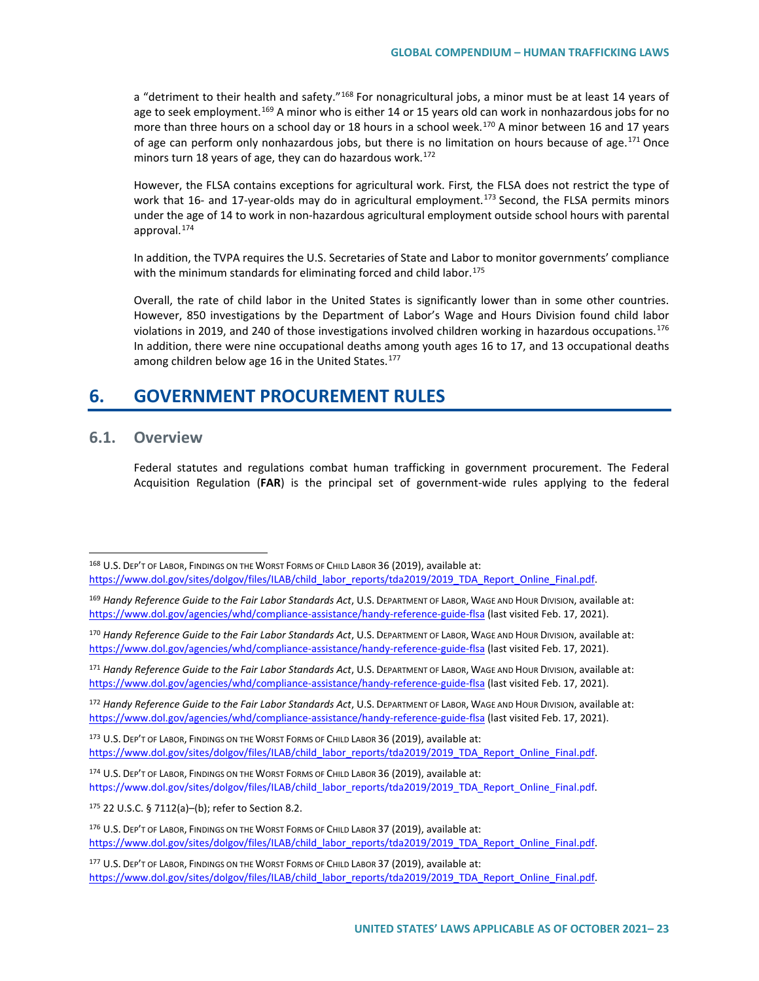a "detriment to their health and safety."<sup>[168](#page-22-0)</sup> For nonagricultural jobs, a minor must be at least 14 years of age to seek employment.<sup>[169](#page-22-1)</sup> A minor who is either 14 or 15 years old can work in nonhazardous jobs for no more than three hours on a school day or 18 hours in a school week.<sup>[170](#page-22-2)</sup> A minor between 16 and 17 years of age can perform only nonhazardous jobs, but there is no limitation on hours because of age.<sup>[171](#page-22-3)</sup> Once minors turn 18 years of age, they can do hazardous work.<sup>[172](#page-22-4)</sup>

However, the FLSA contains exceptions for agricultural work. First*,* the FLSA does not restrict the type of work that 16- and 17-year-olds may do in agricultural employment.<sup>173</sup> Second, the FLSA permits minors under the age of 14 to work in non-hazardous agricultural employment outside school hours with parental approval.[174](#page-22-6)

In addition, the TVPA requires the U.S. Secretaries of State and Labor to monitor governments' compliance with the minimum standards for eliminating forced and child labor.<sup>[175](#page-22-7)</sup>

Overall, the rate of child labor in the United States is significantly lower than in some other countries. However, 850 investigations by the Department of Labor's Wage and Hours Division found child labor violations in 2019, and 240 of those investigations involved children working in hazardous occupations.<sup>[176](#page-22-8)</sup> In addition, there were nine occupational deaths among youth ages 16 to 17, and 13 occupational deaths among children below age 16 in the United States.<sup>[177](#page-22-9)</sup>

## **6. GOVERNMENT PROCUREMENT RULES**

### **6.1. Overview**

Federal statutes and regulations combat human trafficking in government procurement. The Federal Acquisition Regulation (**FAR**) is the principal set of government-wide rules applying to the federal

<span id="page-22-3"></span><sup>171</sup> *Handy Reference Guide to the Fair Labor Standards Act*, U.S. DEPARTMENT OF LABOR, WAGE AND HOUR DIVISION, available at: <https://www.dol.gov/agencies/whd/compliance-assistance/handy-reference-guide-flsa> (last visited Feb. 17, 2021).

<span id="page-22-4"></span><sup>172</sup> *Handy Reference Guide to the Fair Labor Standards Act*, U.S. DEPARTMENT OF LABOR, WAGE AND HOUR DIVISION, available at: <https://www.dol.gov/agencies/whd/compliance-assistance/handy-reference-guide-flsa> (last visited Feb. 17, 2021).

<span id="page-22-5"></span><sup>173</sup> U.S. DEP'T OF LABOR, FINDINGS ON THE WORST FORMS OF CHILD LABOR 36 (2019), available at: [https://www.dol.gov/sites/dolgov/files/ILAB/child\\_labor\\_reports/tda2019/2019\\_TDA\\_Report\\_Online\\_Final.pdf.](https://www.dol.gov/sites/dolgov/files/ILAB/child_labor_reports/tda2019/2019_TDA_Report_Online_Final.pdf)

<span id="page-22-6"></span>174 U.S. DEP'T OF LABOR, FINDINGS ON THE WORST FORMS OF CHILD LABOR 36 (2019), available at: [https://www.dol.gov/sites/dolgov/files/ILAB/child\\_labor\\_reports/tda2019/2019\\_TDA\\_Report\\_Online\\_Final.pdf.](https://www.dol.gov/sites/dolgov/files/ILAB/child_labor_reports/tda2019/2019_TDA_Report_Online_Final.pdf)

<span id="page-22-7"></span><sup>175</sup> 22 U.S.C. § 7112(a)–(b); refer to Section 8.2.

<span id="page-22-0"></span><sup>168</sup> U.S. DEP'T OF LABOR, FINDINGS ON THE WORST FORMS OF CHILD LABOR 36 (2019), available at: [https://www.dol.gov/sites/dolgov/files/ILAB/child\\_labor\\_reports/tda2019/2019\\_TDA\\_Report\\_Online\\_Final.pdf.](https://www.dol.gov/sites/dolgov/files/ILAB/child_labor_reports/tda2019/2019_TDA_Report_Online_Final.pdf)

<span id="page-22-1"></span><sup>169</sup> *Handy Reference Guide to the Fair Labor Standards Act*, U.S. DEPARTMENT OF LABOR, WAGE AND HOUR DIVISION, available at: <https://www.dol.gov/agencies/whd/compliance-assistance/handy-reference-guide-flsa> (last visited Feb. 17, 2021).

<span id="page-22-2"></span><sup>170</sup> *Handy Reference Guide to the Fair Labor Standards Act*, U.S. DEPARTMENT OF LABOR, WAGE AND HOUR DIVISION, available at: <https://www.dol.gov/agencies/whd/compliance-assistance/handy-reference-guide-flsa> (last visited Feb. 17, 2021).

<span id="page-22-8"></span><sup>176</sup> U.S. DEP'T OF LABOR, FINDINGS ON THE WORST FORMS OF CHILD LABOR 37 (2019), available at: [https://www.dol.gov/sites/dolgov/files/ILAB/child\\_labor\\_reports/tda2019/2019\\_TDA\\_Report\\_Online\\_Final.pdf.](https://www.dol.gov/sites/dolgov/files/ILAB/child_labor_reports/tda2019/2019_TDA_Report_Online_Final.pdf)

<span id="page-22-9"></span><sup>177</sup> U.S. DEP'T OF LABOR, FINDINGS ON THE WORST FORMS OF CHILD LABOR 37 (2019), available at: [https://www.dol.gov/sites/dolgov/files/ILAB/child\\_labor\\_reports/tda2019/2019\\_TDA\\_Report\\_Online\\_Final.pdf.](https://www.dol.gov/sites/dolgov/files/ILAB/child_labor_reports/tda2019/2019_TDA_Report_Online_Final.pdf)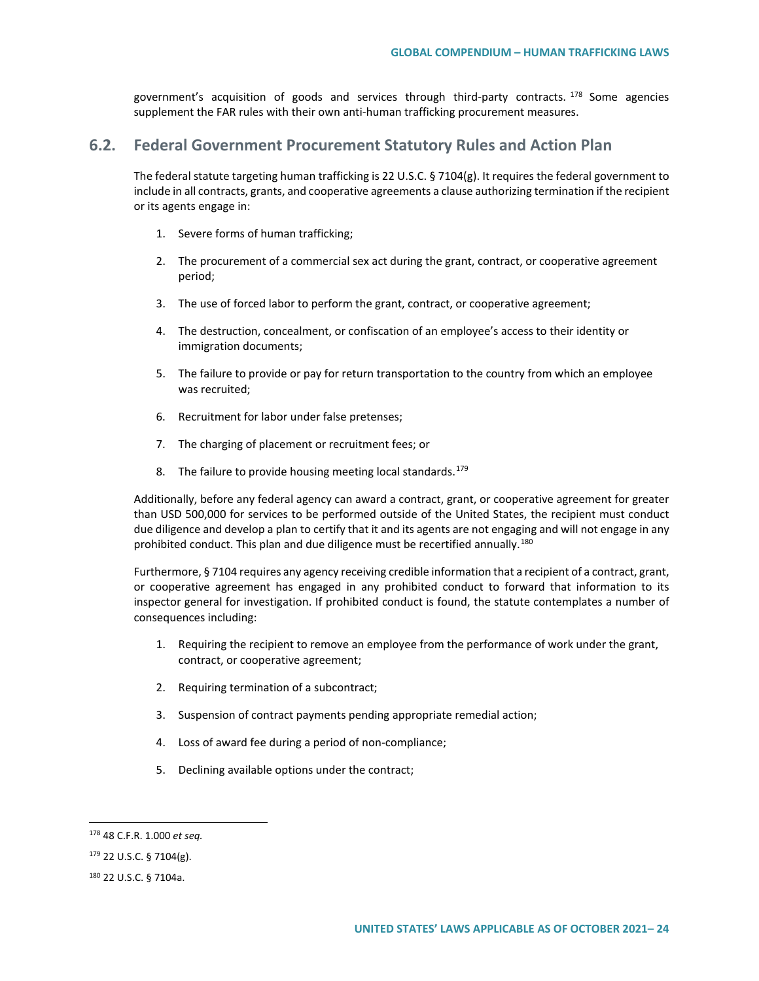government's acquisition of goods and services through third-party contracts. <sup>[178](#page-23-0)</sup> Some agencies supplement the FAR rules with their own anti-human trafficking procurement measures.

### **6.2. Federal Government Procurement Statutory Rules and Action Plan**

The federal statute targeting human trafficking is 22 U.S.C. § 7104(g). It requires the federal government to include in all contracts, grants, and cooperative agreements a clause authorizing termination if the recipient or its agents engage in:

- 1. Severe forms of human trafficking;
- 2. The procurement of a commercial sex act during the grant, contract, or cooperative agreement period;
- 3. The use of forced labor to perform the grant, contract, or cooperative agreement;
- 4. The destruction, concealment, or confiscation of an employee's access to their identity or immigration documents;
- 5. The failure to provide or pay for return transportation to the country from which an employee was recruited;
- 6. Recruitment for labor under false pretenses;
- 7. The charging of placement or recruitment fees; or
- 8. The failure to provide housing meeting local standards. $179$

Additionally, before any federal agency can award a contract, grant, or cooperative agreement for greater than USD 500,000 for services to be performed outside of the United States, the recipient must conduct due diligence and develop a plan to certify that it and its agents are not engaging and will not engage in any prohibited conduct. This plan and due diligence must be recertified annually.<sup>[180](#page-23-2)</sup>

Furthermore, § 7104 requires any agency receiving credible information that a recipient of a contract, grant, or cooperative agreement has engaged in any prohibited conduct to forward that information to its inspector general for investigation. If prohibited conduct is found, the statute contemplates a number of consequences including:

- 1. Requiring the recipient to remove an employee from the performance of work under the grant, contract, or cooperative agreement;
- 2. Requiring termination of a subcontract;
- 3. Suspension of contract payments pending appropriate remedial action;
- 4. Loss of award fee during a period of non-compliance;
- 5. Declining available options under the contract;

<span id="page-23-0"></span><sup>178</sup> 48 C.F.R. 1.000 *et seq.*

<span id="page-23-1"></span><sup>179</sup> 22 U.S.C. § 7104(g).

<span id="page-23-2"></span><sup>180</sup> 22 U.S.C. § 7104a.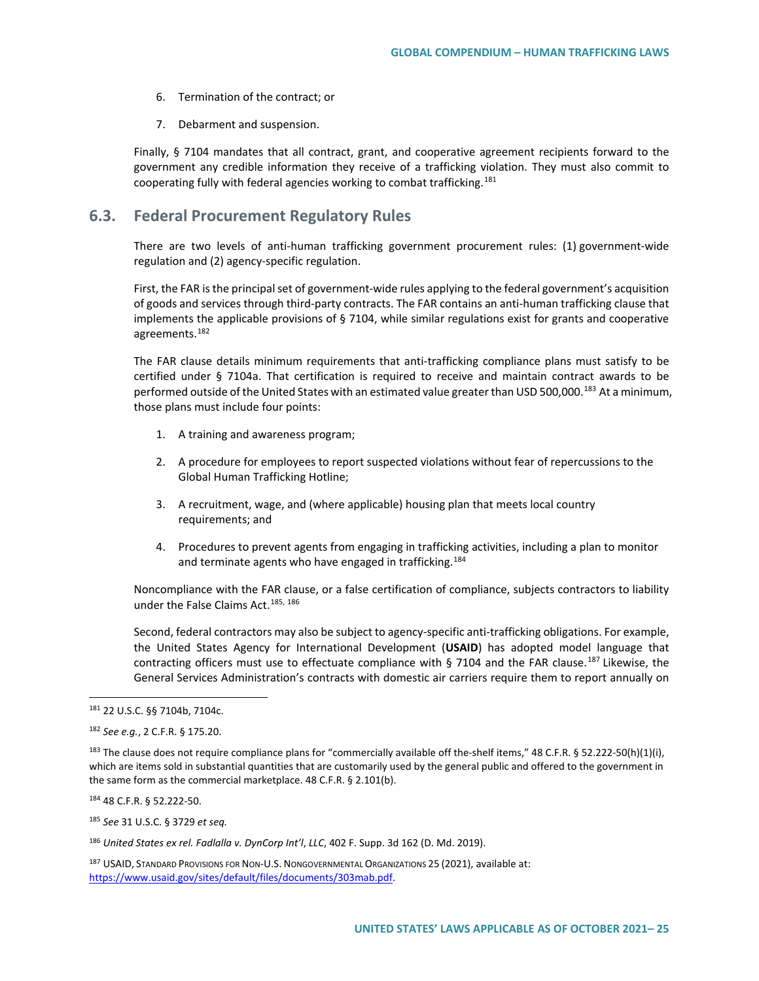- 6. Termination of the contract; or
- 7. Debarment and suspension.

Finally, § 7104 mandates that all contract, grant, and cooperative agreement recipients forward to the government any credible information they receive of a trafficking violation. They must also commit to cooperating fully with federal agencies working to combat trafficking.<sup>[181](#page-24-0)</sup>

### **6.3. Federal Procurement Regulatory Rules**

There are two levels of anti-human trafficking government procurement rules: (1) government-wide regulation and (2) agency-specific regulation.

First, the FAR is the principal set of government-wide rules applying to the federal government's acquisition of goods and services through third-party contracts. The FAR contains an anti-human trafficking clause that implements the applicable provisions of § 7104, while similar regulations exist for grants and cooperative agreements.<sup>[182](#page-24-1)</sup>

The FAR clause details minimum requirements that anti-trafficking compliance plans must satisfy to be certified under § 7104a. That certification is required to receive and maintain contract awards to be performed outside of the United States with an estimated value greater than USD 500,000.<sup>[183](#page-24-2)</sup> At a minimum, those plans must include four points:

- 1. A training and awareness program;
- 2. A procedure for employees to report suspected violations without fear of repercussions to the Global Human Trafficking Hotline;
- 3. A recruitment, wage, and (where applicable) housing plan that meets local country requirements; and
- 4. Procedures to prevent agents from engaging in trafficking activities, including a plan to monitor and terminate agents who have engaged in trafficking.<sup>[184](#page-24-3)</sup>

Noncompliance with the FAR clause, or a false certification of compliance, subjects contractors to liability under the False Claims Act.<sup>185, [186](#page-24-5)</sup>

Second, federal contractors may also be subject to agency-specific anti-trafficking obligations. For example, the United States Agency for International Development (**USAID**) has adopted model language that contracting officers must use to effectuate compliance with § 7104 and the FAR clause.<sup>[187](#page-24-6)</sup> Likewise, the General Services Administration's contracts with domestic air carriers require them to report annually on

<span id="page-24-3"></span><sup>184</sup> 48 C.F.R. § 52.222-50.

<span id="page-24-4"></span><sup>185</sup> *See* 31 U.S.C. § 3729 *et seq.*

<span id="page-24-5"></span><sup>186</sup> *United States ex rel. Fadlalla v. DynCorp Int'l*, *LLC*, 402 F. Supp. 3d 162 (D. Md. 2019).

<span id="page-24-6"></span><sup>187</sup> USAID, STANDARD PROVISIONS FOR NON-U.S. NONGOVERNMENTAL ORGANIZATIONS 25 (2021), available at: [https://www.usaid.gov/sites/default/files/documents/303mab.pdf.](https://www.usaid.gov/sites/default/files/documents/303mab.pdf)

<span id="page-24-0"></span><sup>181</sup> 22 U.S.C. §§ 7104b, 7104c.

<span id="page-24-1"></span><sup>182</sup> *See e.g.*, 2 C.F.R. § 175.20.

<span id="page-24-2"></span><sup>&</sup>lt;sup>183</sup> The clause does not require compliance plans for "commercially available off the-shelf items," 48 C.F.R. § 52.222-50(h)(1)(i), which are items sold in substantial quantities that are customarily used by the general public and offered to the government in the same form as the commercial marketplace. 48 C.F.R. § 2.101(b).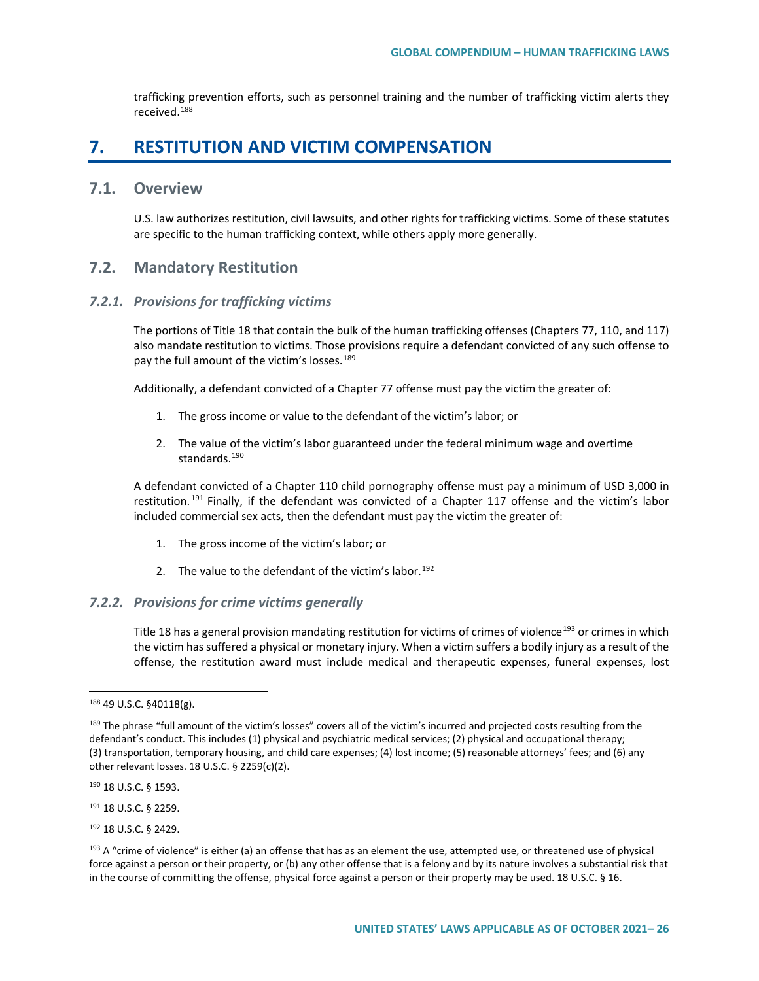trafficking prevention efforts, such as personnel training and the number of trafficking victim alerts they received.[188](#page-25-0)

## **7. RESTITUTION AND VICTIM COMPENSATION**

#### **7.1. Overview**

U.S. law authorizes restitution, civil lawsuits, and other rights for trafficking victims. Some of these statutes are specific to the human trafficking context, while others apply more generally.

### **7.2. Mandatory Restitution**

#### *7.2.1. Provisions for trafficking victims*

The portions of Title 18 that contain the bulk of the human trafficking offenses (Chapters 77, 110, and 117) also mandate restitution to victims. Those provisions require a defendant convicted of any such offense to pay the full amount of the victim's losses.<sup>[189](#page-25-1)</sup>

Additionally, a defendant convicted of a Chapter 77 offense must pay the victim the greater of:

- 1. The gross income or value to the defendant of the victim's labor; or
- 2. The value of the victim's labor guaranteed under the federal minimum wage and overtime standards.<sup>[190](#page-25-2)</sup>

A defendant convicted of a Chapter 110 child pornography offense must pay a minimum of USD 3,000 in restitution.<sup>[191](#page-25-3)</sup> Finally, if the defendant was convicted of a Chapter 117 offense and the victim's labor included commercial sex acts, then the defendant must pay the victim the greater of:

- 1. The gross income of the victim's labor; or
- 2. The value to the defendant of the victim's labor.<sup>192</sup>

#### *7.2.2. Provisions for crime victims generally*

Title 18 has a general provision mandating restitution for victims of crimes of violence<sup>[193](#page-25-5)</sup> or crimes in which the victim has suffered a physical or monetary injury. When a victim suffers a bodily injury as a result of the offense, the restitution award must include medical and therapeutic expenses, funeral expenses, lost

<span id="page-25-2"></span><sup>190</sup> 18 U.S.C. § 1593.

<span id="page-25-3"></span><sup>191</sup> 18 U.S.C. § 2259.

<span id="page-25-4"></span><sup>192</sup> 18 U.S.C. § 2429.

<span id="page-25-0"></span><sup>188</sup> 49 U.S.C. §40118(g).

<span id="page-25-1"></span><sup>&</sup>lt;sup>189</sup> The phrase "full amount of the victim's losses" covers all of the victim's incurred and projected costs resulting from the defendant's conduct. This includes (1) physical and psychiatric medical services; (2) physical and occupational therapy; (3) transportation, temporary housing, and child care expenses; (4) lost income; (5) reasonable attorneys' fees; and (6) any other relevant losses. 18 U.S.C. § 2259(c)(2).

<span id="page-25-5"></span> $193$  A "crime of violence" is either (a) an offense that has as an element the use, attempted use, or threatened use of physical force against a person or their property, or (b) any other offense that is a felony and by its nature involves a substantial risk that in the course of committing the offense, physical force against a person or their property may be used. 18 U.S.C. § 16.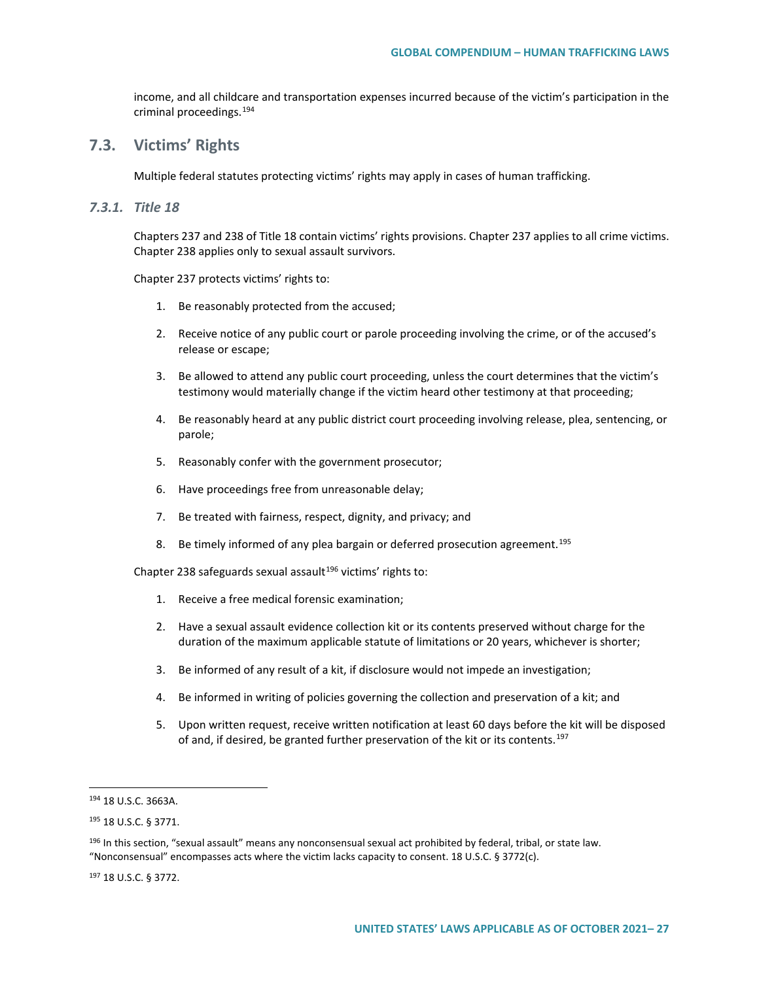income, and all childcare and transportation expenses incurred because of the victim's participation in the criminal proceedings.[194](#page-26-0)

## **7.3. Victims' Rights**

Multiple federal statutes protecting victims' rights may apply in cases of human trafficking.

#### *7.3.1. Title 18*

Chapters 237 and 238 of Title 18 contain victims' rights provisions. Chapter 237 applies to all crime victims. Chapter 238 applies only to sexual assault survivors.

Chapter 237 protects victims' rights to:

- 1. Be reasonably protected from the accused;
- 2. Receive notice of any public court or parole proceeding involving the crime, or of the accused's release or escape;
- 3. Be allowed to attend any public court proceeding, unless the court determines that the victim's testimony would materially change if the victim heard other testimony at that proceeding;
- 4. Be reasonably heard at any public district court proceeding involving release, plea, sentencing, or parole;
- 5. Reasonably confer with the government prosecutor;
- 6. Have proceedings free from unreasonable delay;
- 7. Be treated with fairness, respect, dignity, and privacy; and
- 8. Be timely informed of any plea bargain or deferred prosecution agreement.<sup>[195](#page-26-1)</sup>

Chapter 238 safeguards sexual assault<sup>[196](#page-26-2)</sup> victims' rights to:

- 1. Receive a free medical forensic examination;
- 2. Have a sexual assault evidence collection kit or its contents preserved without charge for the duration of the maximum applicable statute of limitations or 20 years, whichever is shorter;
- 3. Be informed of any result of a kit, if disclosure would not impede an investigation;
- 4. Be informed in writing of policies governing the collection and preservation of a kit; and
- 5. Upon written request, receive written notification at least 60 days before the kit will be disposed of and, if desired, be granted further preservation of the kit or its contents.<sup>[197](#page-26-3)</sup>

<span id="page-26-3"></span><sup>197</sup> 18 U.S.C. § 3772.

<span id="page-26-0"></span><sup>194</sup> 18 U.S.C. 3663A.

<span id="page-26-1"></span><sup>195</sup> 18 U.S.C. § 3771.

<span id="page-26-2"></span><sup>&</sup>lt;sup>196</sup> In this section, "sexual assault" means any nonconsensual sexual act prohibited by federal, tribal, or state law. "Nonconsensual" encompasses acts where the victim lacks capacity to consent. 18 U.S.C. § 3772(c).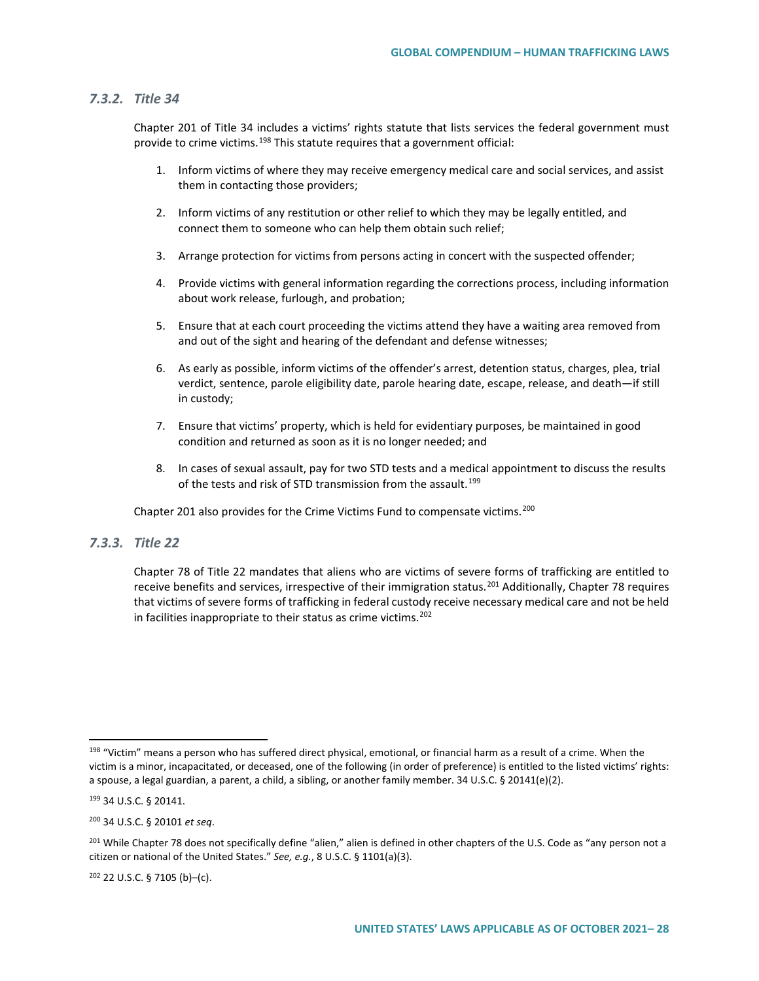#### *7.3.2. Title 34*

Chapter 201 of Title 34 includes a victims' rights statute that lists services the federal government must provide to crime victims.<sup>[198](#page-27-0)</sup> This statute requires that a government official:

- 1. Inform victims of where they may receive emergency medical care and social services, and assist them in contacting those providers;
- 2. Inform victims of any restitution or other relief to which they may be legally entitled, and connect them to someone who can help them obtain such relief;
- 3. Arrange protection for victims from persons acting in concert with the suspected offender;
- 4. Provide victims with general information regarding the corrections process, including information about work release, furlough, and probation;
- 5. Ensure that at each court proceeding the victims attend they have a waiting area removed from and out of the sight and hearing of the defendant and defense witnesses;
- 6. As early as possible, inform victims of the offender's arrest, detention status, charges, plea, trial verdict, sentence, parole eligibility date, parole hearing date, escape, release, and death—if still in custody;
- 7. Ensure that victims' property, which is held for evidentiary purposes, be maintained in good condition and returned as soon as it is no longer needed; and
- 8. In cases of sexual assault, pay for two STD tests and a medical appointment to discuss the results of the tests and risk of STD transmission from the assault.<sup>[199](#page-27-1)</sup>

Chapter 201 also provides for the Crime Victims Fund to compensate victims.<sup>[200](#page-27-2)</sup>

#### *7.3.3. Title 22*

Chapter 78 of Title 22 mandates that aliens who are victims of severe forms of trafficking are entitled to receive benefits and services, irrespective of their immigration status.<sup>[201](#page-27-3)</sup> Additionally, Chapter 78 requires that victims of severe forms of trafficking in federal custody receive necessary medical care and not be held in facilities inappropriate to their status as crime victims. $202$ 

<span id="page-27-4"></span><sup>202</sup> 22 U.S.C. § 7105 (b)–(c).

<span id="page-27-0"></span><sup>&</sup>lt;sup>198</sup> "Victim" means a person who has suffered direct physical, emotional, or financial harm as a result of a crime. When the victim is a minor, incapacitated, or deceased, one of the following (in order of preference) is entitled to the listed victims' rights: a spouse, a legal guardian, a parent, a child, a sibling, or another family member. 34 U.S.C. § 20141(e)(2).

<span id="page-27-1"></span><sup>199</sup> 34 U.S.C. § 20141.

<span id="page-27-2"></span><sup>200</sup> 34 U.S.C. § 20101 *et seq*.

<span id="page-27-3"></span><sup>&</sup>lt;sup>201</sup> While Chapter 78 does not specifically define "alien," alien is defined in other chapters of the U.S. Code as "any person not a citizen or national of the United States." *See, e.g.*, 8 U.S.C. § 1101(a)(3).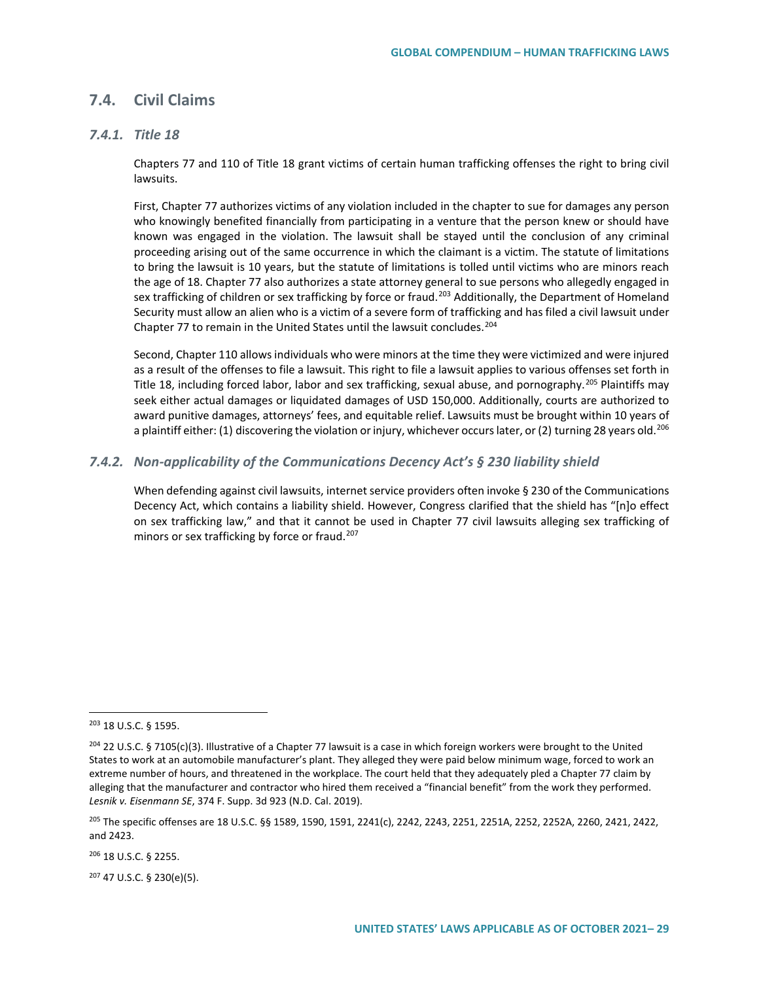### **7.4. Civil Claims**

#### *7.4.1. Title 18*

Chapters 77 and 110 of Title 18 grant victims of certain human trafficking offenses the right to bring civil lawsuits.

First, Chapter 77 authorizes victims of any violation included in the chapter to sue for damages any person who knowingly benefited financially from participating in a venture that the person knew or should have known was engaged in the violation. The lawsuit shall be stayed until the conclusion of any criminal proceeding arising out of the same occurrence in which the claimant is a victim. The statute of limitations to bring the lawsuit is 10 years, but the statute of limitations is tolled until victims who are minors reach the age of 18. Chapter 77 also authorizes a state attorney general to sue persons who allegedly engaged in sex trafficking of children or sex trafficking by force or fraud.<sup>[203](#page-28-0)</sup> Additionally, the Department of Homeland Security must allow an alien who is a victim of a severe form of trafficking and has filed a civil lawsuit under Chapter 77 to remain in the United States until the lawsuit concludes.<sup>[204](#page-28-1)</sup>

Second, Chapter 110 allows individuals who were minors at the time they were victimized and were injured as a result of the offenses to file a lawsuit. This right to file a lawsuit applies to various offenses set forth in Title 18, including forced labor, labor and sex trafficking, sexual abuse, and pornography.<sup>[205](#page-28-2)</sup> Plaintiffs may seek either actual damages or liquidated damages of USD 150,000. Additionally, courts are authorized to award punitive damages, attorneys' fees, and equitable relief. Lawsuits must be brought within 10 years of a plaintiff either: (1) discovering the violation or injury, whichever occurs later, or (2) turning 28 years old.<sup>[206](#page-28-3)</sup>

#### *7.4.2. Non-applicability of the Communications Decency Act's § 230 liability shield*

When defending against civil lawsuits, internet service providers often invoke § 230 of the Communications Decency Act, which contains a liability shield. However, Congress clarified that the shield has "[n]o effect on sex trafficking law," and that it cannot be used in Chapter 77 civil lawsuits alleging sex trafficking of minors or sex trafficking by force or fraud.<sup>207</sup>

<span id="page-28-3"></span><sup>206</sup> 18 U.S.C. § 2255.

<span id="page-28-4"></span><sup>207</sup> 47 U.S.C. § 230(e)(5).

<span id="page-28-0"></span><sup>203</sup> 18 U.S.C. § 1595.

<span id="page-28-1"></span> $204$  22 U.S.C. § 7105(c)(3). Illustrative of a Chapter 77 lawsuit is a case in which foreign workers were brought to the United States to work at an automobile manufacturer's plant. They alleged they were paid below minimum wage, forced to work an extreme number of hours, and threatened in the workplace. The court held that they adequately pled a Chapter 77 claim by alleging that the manufacturer and contractor who hired them received a "financial benefit" from the work they performed. *Lesnik v. Eisenmann SE*, 374 F. Supp. 3d 923 (N.D. Cal. 2019).

<span id="page-28-2"></span><sup>205</sup> The specific offenses are 18 U.S.C. §§ 1589, 1590, 1591, 2241(c), 2242, 2243, 2251, 2251A, 2252, 2252A, 2260, 2421, 2422, and 2423.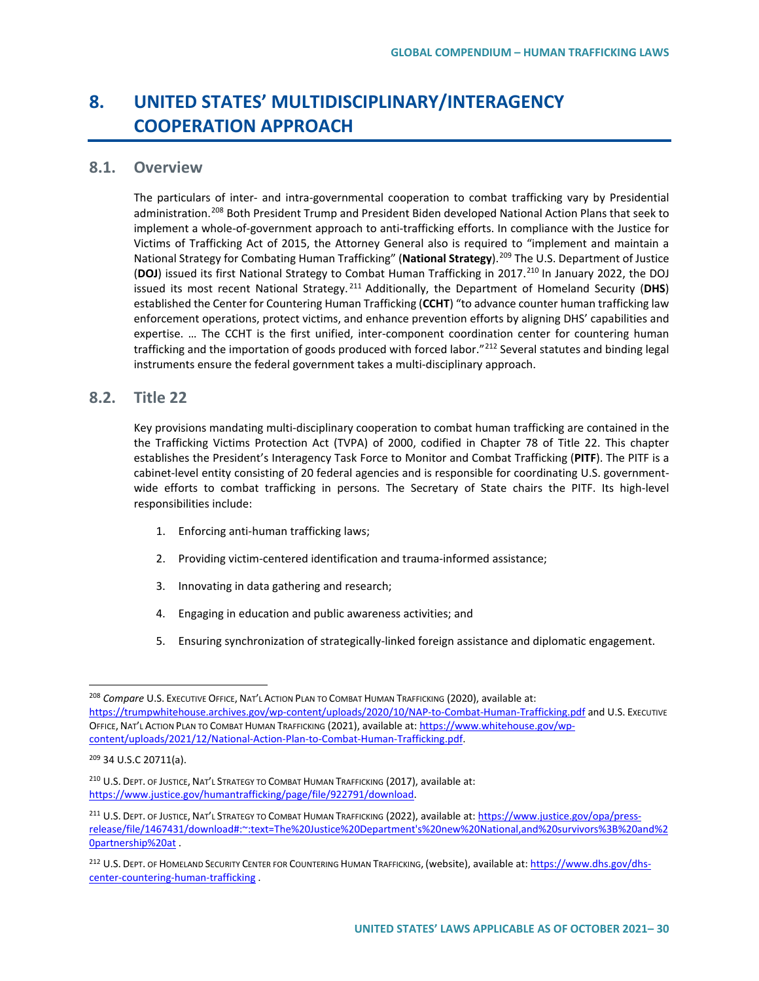# **8. UNITED STATES' MULTIDISCIPLINARY/INTERAGENCY COOPERATION APPROACH**

#### **8.1. Overview**

The particulars of inter- and intra-governmental cooperation to combat trafficking vary by Presidential administration.[208](#page-29-0) Both President Trump and President Biden developed National Action Plans that seek to implement a whole-of-government approach to anti-trafficking efforts. In compliance with the Justice for Victims of Trafficking Act of 2015, the Attorney General also is required to "implement and maintain a National Strategy for Combating Human Trafficking" (**National Strategy**).[209](#page-29-1) The U.S. Department of Justice (**DOJ**) issued its first National Strategy to Combat Human Trafficking in 2017.<sup>[210](#page-29-2)</sup> In January 2022, the DOJ issued its most recent National Strategy. [211](#page-29-3) Additionally, the Department of Homeland Security (**DHS**) established the Center for Countering Human Trafficking (**CCHT**) "to advance counter human trafficking law enforcement operations, protect victims, and enhance prevention efforts by aligning DHS' capabilities and expertise. … The CCHT is the first unified, inter-component coordination center for countering human trafficking and the importation of goods produced with forced labor."<sup>212</sup> Several statutes and binding legal instruments ensure the federal government takes a multi-disciplinary approach.

### **8.2. Title 22**

Key provisions mandating multi-disciplinary cooperation to combat human trafficking are contained in the the Trafficking Victims Protection Act (TVPA) of 2000, codified in Chapter 78 of Title 22. This chapter establishes the President's Interagency Task Force to Monitor and Combat Trafficking (**PITF**). The PITF is a cabinet-level entity consisting of 20 federal agencies and is responsible for coordinating U.S. governmentwide efforts to combat trafficking in persons. The Secretary of State chairs the PITF. Its high-level responsibilities include:

- 1. Enforcing anti-human trafficking laws;
- 2. Providing victim-centered identification and trauma-informed assistance;
- 3. Innovating in data gathering and research;
- 4. Engaging in education and public awareness activities; and
- 5. Ensuring synchronization of strategically-linked foreign assistance and diplomatic engagement.

<span id="page-29-0"></span><sup>208</sup> *Compare* U.S. EXECUTIVE OFFICE, NAT'L ACTION PLAN TO COMBAT HUMAN TRAFFICKING (2020), available at: <https://trumpwhitehouse.archives.gov/wp-content/uploads/2020/10/NAP-to-Combat-Human-Trafficking.pdf> and U.S. Executive OFFICE, NAT'L ACTION PLAN TO COMBAT HUMAN TRAFFICKING (2021), available at[: https://www.whitehouse.gov/wp](https://www.whitehouse.gov/wp-content/uploads/2021/12/National-Action-Plan-to-Combat-Human-Trafficking.pdf)[content/uploads/2021/12/National-Action-Plan-to-Combat-Human-Trafficking.pdf.](https://www.whitehouse.gov/wp-content/uploads/2021/12/National-Action-Plan-to-Combat-Human-Trafficking.pdf) 

<span id="page-29-1"></span><sup>209</sup> 34 U.S.C 20711(a).

<span id="page-29-2"></span><sup>210</sup> U.S. DEPT. OF JUSTICE, NAT'L STRATEGY TO COMBAT HUMAN TRAFFICKING (2017), available at: [https://www.justice.gov/humantrafficking/page/file/922791/download.](https://www.justice.gov/humantrafficking/page/file/922791/download)

<span id="page-29-3"></span><sup>211</sup> U.S. DEPT. OF JUSTICE, NAT'L STRATEGY TO COMBAT HUMAN TRAFFICKING (2022), available at[: https://www.justice.gov/opa/press](https://www.justice.gov/opa/press-release/file/1467431/download#:%7E:text=The%20Justice%20Department)[release/file/1467431/download#:~:text=The%20Justice%20Department's%20new%20National,and%20survivors%3B%20and%2](https://www.justice.gov/opa/press-release/file/1467431/download#:%7E:text=The%20Justice%20Department) [0partnership%20at](https://www.justice.gov/opa/press-release/file/1467431/download#:%7E:text=The%20Justice%20Department) .

<span id="page-29-4"></span><sup>212</sup> U.S. DEPT. OF HOMELAND SECURITY CENTER FOR COUNTERING HUMAN TRAFFICKING, (website), available at[: https://www.dhs.gov/dhs](https://www.dhs.gov/dhs-center-countering-human-trafficking)[center-countering-human-trafficking](https://www.dhs.gov/dhs-center-countering-human-trafficking) .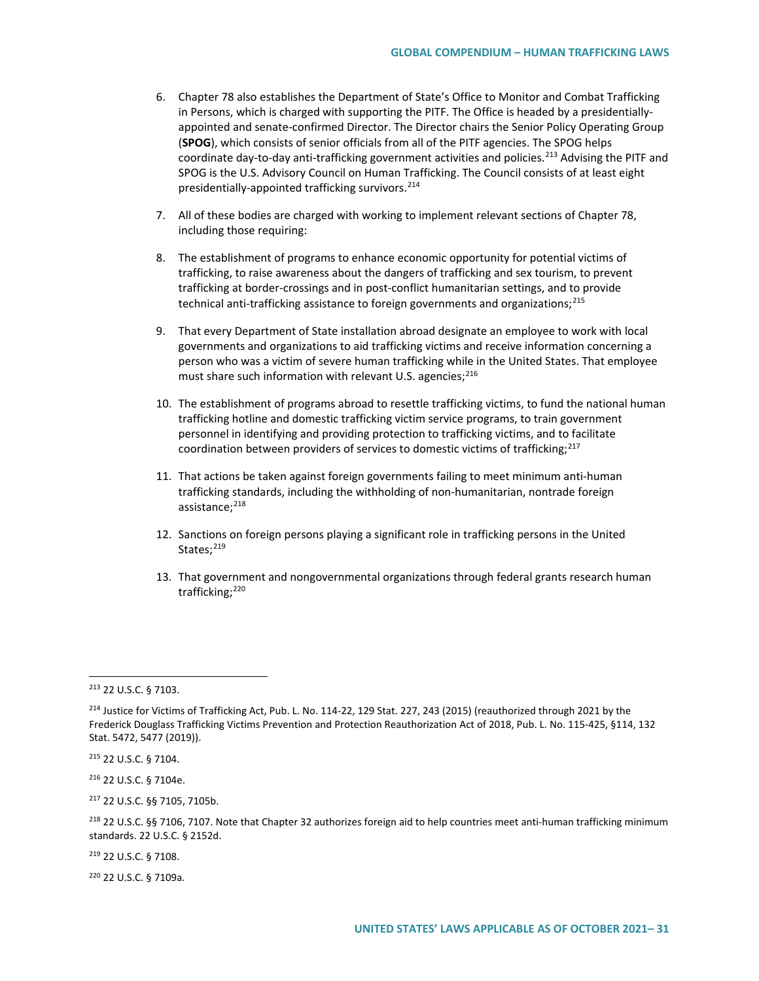- 6. Chapter 78 also establishes the Department of State's Office to Monitor and Combat Trafficking in Persons, which is charged with supporting the PITF. The Office is headed by a presidentiallyappointed and senate-confirmed Director. The Director chairs the Senior Policy Operating Group (**SPOG**), which consists of senior officials from all of the PITF agencies. The SPOG helps coordinate day-to-day anti-trafficking government activities and policies.<sup>[213](#page-30-0)</sup> Advising the PITF and SPOG is the U.S. Advisory Council on Human Trafficking. The Council consists of at least eight presidentially-appointed trafficking survivors.<sup>[214](#page-30-1)</sup>
- 7. All of these bodies are charged with working to implement relevant sections of Chapter 78, including those requiring:
- 8. The establishment of programs to enhance economic opportunity for potential victims of trafficking, to raise awareness about the dangers of trafficking and sex tourism, to prevent trafficking at border-crossings and in post-conflict humanitarian settings, and to provide technical anti-trafficking assistance to foreign governments and organizations;<sup>[215](#page-30-2)</sup>
- 9. That every Department of State installation abroad designate an employee to work with local governments and organizations to aid trafficking victims and receive information concerning a person who was a victim of severe human trafficking while in the United States. That employee must share such information with relevant U.S. agencies;  $216$
- 10. The establishment of programs abroad to resettle trafficking victims, to fund the national human trafficking hotline and domestic trafficking victim service programs, to train government personnel in identifying and providing protection to trafficking victims, and to facilitate coordination between providers of services to domestic victims of trafficking; $^{217}$  $^{217}$  $^{217}$
- 11. That actions be taken against foreign governments failing to meet minimum anti-human trafficking standards, including the withholding of non-humanitarian, nontrade foreign assistance;<sup>[218](#page-30-5)</sup>
- 12. Sanctions on foreign persons playing a significant role in trafficking persons in the United States:<sup>[219](#page-30-6)</sup>
- 13. That government and nongovernmental organizations through federal grants research human trafficking;<sup>[220](#page-30-7)</sup>

<span id="page-30-2"></span><sup>215</sup> 22 U.S.C. § 7104.

<span id="page-30-3"></span><sup>216</sup> 22 U.S.C. § 7104e.

<span id="page-30-4"></span><sup>217</sup> 22 U.S.C. §§ 7105, 7105b.

<span id="page-30-6"></span><sup>219</sup> 22 U.S.C. § 7108.

<span id="page-30-7"></span><sup>220</sup> 22 U.S.C. § 7109a.

<span id="page-30-0"></span><sup>213</sup> 22 U.S.C. § 7103.

<span id="page-30-1"></span><sup>&</sup>lt;sup>214</sup> Justice for Victims of Trafficking Act, Pub. L. No. 114-22, 129 Stat. 227, 243 (2015) (reauthorized through 2021 by the Frederick Douglass Trafficking Victims Prevention and Protection Reauthorization Act of 2018, Pub. L. No. 115-425, §114, 132 Stat. 5472, 5477 (2019)).

<span id="page-30-5"></span><sup>218</sup> 22 U.S.C. §§ 7106, 7107. Note that Chapter 32 authorizes foreign aid to help countries meet anti-human trafficking minimum standards. 22 U.S.C. § 2152d.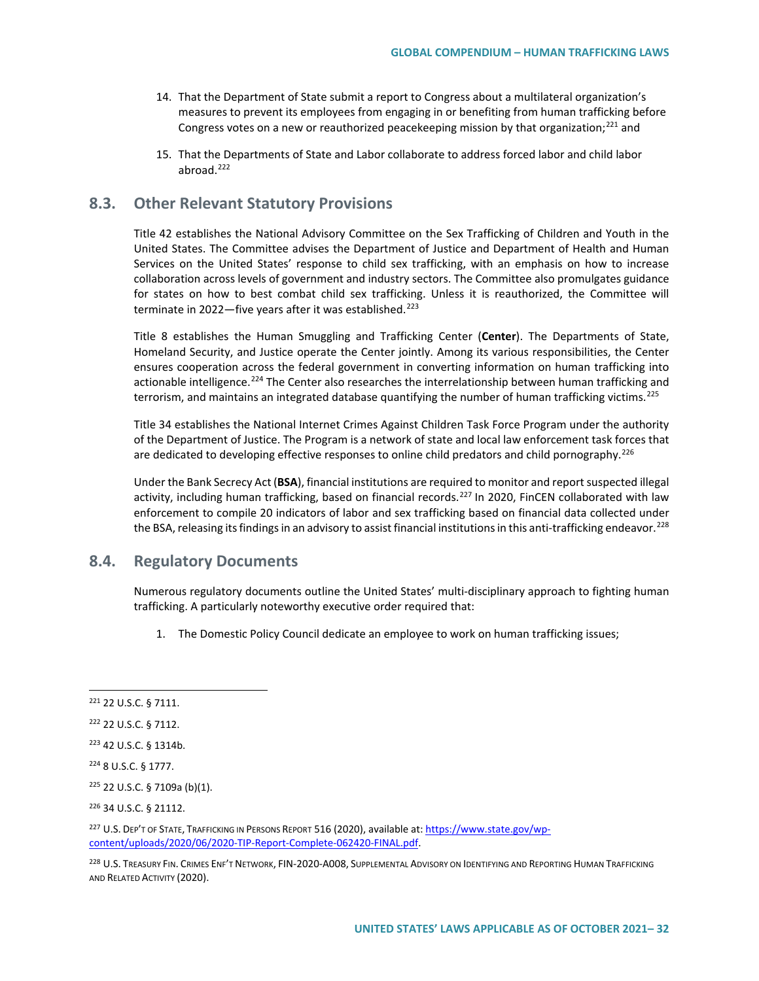- 14. That the Department of State submit a report to Congress about a multilateral organization's measures to prevent its employees from engaging in or benefiting from human trafficking before Congress votes on a new or reauthorized peacekeeping mission by that organization;<sup>[221](#page-31-0)</sup> and
- 15. That the Departments of State and Labor collaborate to address forced labor and child labor abroad.[222](#page-31-1)

### **8.3. Other Relevant Statutory Provisions**

Title 42 establishes the National Advisory Committee on the Sex Trafficking of Children and Youth in the United States. The Committee advises the Department of Justice and Department of Health and Human Services on the United States' response to child sex trafficking, with an emphasis on how to increase collaboration across levels of government and industry sectors. The Committee also promulgates guidance for states on how to best combat child sex trafficking. Unless it is reauthorized, the Committee will terminate in 2022—five years after it was established.<sup>[223](#page-31-2)</sup>

Title 8 establishes the Human Smuggling and Trafficking Center (**Center**). The Departments of State, Homeland Security, and Justice operate the Center jointly. Among its various responsibilities, the Center ensures cooperation across the federal government in converting information on human trafficking into actionable intelligence.<sup>[224](#page-31-3)</sup> The Center also researches the interrelationship between human trafficking and terrorism, and maintains an integrated database quantifying the number of human trafficking victims.<sup>[225](#page-31-4)</sup>

Title 34 establishes the National Internet Crimes Against Children Task Force Program under the authority of the Department of Justice. The Program is a network of state and local law enforcement task forces that are dedicated to developing effective responses to online child predators and child pornography.<sup>[226](#page-31-5)</sup>

Under the Bank Secrecy Act (**BSA**), financial institutions are required to monitor and report suspected illegal activity, including human trafficking, based on financial records.<sup>[227](#page-31-6)</sup> In 2020, FinCEN collaborated with law enforcement to compile 20 indicators of labor and sex trafficking based on financial data collected under the BSA, releasing its findings in an advisory to assist financial institutions in this anti-trafficking endeavor.<sup>[228](#page-31-7)</sup>

### **8.4. Regulatory Documents**

Numerous regulatory documents outline the United States' multi-disciplinary approach to fighting human trafficking. A particularly noteworthy executive order required that:

1. The Domestic Policy Council dedicate an employee to work on human trafficking issues;

<span id="page-31-5"></span><sup>226</sup> 34 U.S.C. § 21112.

<span id="page-31-6"></span>227 U.S. DEP'T OF STATE, TRAFFICKING IN PERSONS REPORT 516 (2020), available at[: https://www.state.gov/wp](https://www.state.gov/wp-content/uploads/2020/06/2020-TIP-Report-Complete-062420-FINAL.pdf)[content/uploads/2020/06/2020-TIP-Report-Complete-062420-FINAL.pdf.](https://www.state.gov/wp-content/uploads/2020/06/2020-TIP-Report-Complete-062420-FINAL.pdf) 

<span id="page-31-7"></span>228 U.S. TREASURY FIN. CRIMES ENF'T NETWORK, FIN-2020-A008, SUPPLEMENTAL ADVISORY ON IDENTIFYING AND REPORTING HUMAN TRAFFICKING AND RELATED ACTIVITY (2020).

<span id="page-31-0"></span><sup>221</sup> 22 U.S.C. § 7111.

<span id="page-31-1"></span><sup>222</sup> 22 U.S.C. § 7112.

<span id="page-31-2"></span><sup>223</sup> 42 U.S.C. § 1314b.

<span id="page-31-3"></span><sup>224</sup> 8 U.S.C. § 1777.

<span id="page-31-4"></span><sup>225</sup> 22 U.S.C. § 7109a (b)(1).